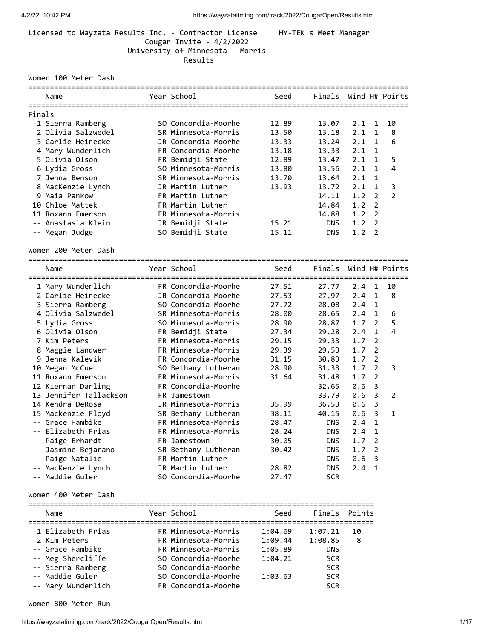## Licensed to Wayzata Results Inc. - Contractor License HY-TEK's Meet Manager Cougar Invite - 4/2/2022 University of Minnesota - Morris Results

### Women 100 Meter Dash

|        |                                        | ===============     |                   | ================================= |                 |                |                         |
|--------|----------------------------------------|---------------------|-------------------|-----------------------------------|-----------------|----------------|-------------------------|
|        | Name                                   | Year School         | Seed              | Finals                            |                 |                | Wind H# Points          |
| Finals |                                        |                     |                   |                                   |                 |                |                         |
|        | 1 Sierra Ramberg                       | SO Concordia-Moorhe | 12.89             | 13.07                             | 2.1             | 1              | 10                      |
|        | 2 Olivia Salzwedel                     | SR Minnesota-Morris | 13.50             | 13.18                             | 2.1             | $\mathbf{1}$   | 8                       |
|        | 3 Carlie Heinecke                      | JR Concordia-Moorhe | 13.33             | 13.24                             | 2.1             | $\mathbf{1}$   | 6                       |
|        | 4 Mary Wunderlich                      | FR Concordia-Moorhe | 13.18             | 13.33                             | 2.1             | $\mathbf{1}$   |                         |
|        | 5 Olivia Olson                         | FR Bemidji State    | 12.89             | 13.47                             | 2.1             | $\mathbf{1}$   | 5                       |
|        | 6 Lydia Gross                          | SO Minnesota-Morris | 13.80             | 13.56                             | 2.1             | $\mathbf{1}$   | $\overline{4}$          |
|        | 7 Jenna Benson                         | SR Minnesota-Morris | 13.70             | 13.64                             | 2.1             | $\mathbf{1}$   |                         |
|        | 8 MacKenzie Lynch                      | JR Martin Luther    | 13.93             | 13.72                             | 2.1             | $\mathbf{1}$   | 3                       |
|        | 9 Maia Pankow                          | FR Martin Luther    |                   | 14.11                             | 1.2             | $\overline{2}$ | $\overline{2}$          |
|        | 10 Chloe Mattek                        | FR Martin Luther    |                   | 14.84                             | 1.2             | $\overline{2}$ |                         |
|        |                                        |                     |                   |                                   |                 | $\overline{2}$ |                         |
|        | 11 Roxann Emerson                      | FR Minnesota-Morris |                   | 14.88                             | 1.2             |                |                         |
|        | -- Anastasia Klein                     | JR Bemidji State    | 15.21             | <b>DNS</b>                        | 1.2             | $\overline{2}$ |                         |
|        | -- Megan Judge                         | SO Bemidji State    | 15.11             | <b>DNS</b>                        | 1.2             | $\overline{2}$ |                         |
|        | Women 200 Meter Dash                   |                     |                   |                                   |                 |                |                         |
|        | ==============================<br>Name | Year School         | Seed              | Finals                            |                 |                | Wind H# Points          |
|        | ----------------------                 | =================   | ----------------- |                                   | =============== |                |                         |
|        | 1 Mary Wunderlich                      | FR Concordia-Moorhe | 27.51             | 27.77                             | 2.4             | $\mathbf{1}$   | 10                      |
|        | 2 Carlie Heinecke                      | JR Concordia-Moorhe | 27.53             | 27.97                             | 2.4             | $\mathbf{1}$   | 8                       |
|        | 3 Sierra Ramberg                       | SO Concordia-Moorhe | 27.72             | 28.08                             | 2.4             | $\mathbf{1}$   |                         |
|        | 4 Olivia Salzwedel                     | SR Minnesota-Morris | 28.00             | 28.65                             | 2.4             | $\mathbf{1}$   | 6                       |
|        | 5 Lydia Gross                          | SO Minnesota-Morris | 28.90             | 28.87                             | 1.7             | $\overline{2}$ | 5                       |
|        | 6 Olivia Olson                         | FR Bemidji State    | 27.34             | 29.28                             | 2.4             | $\mathbf{1}$   | $\overline{\mathbf{4}}$ |
|        | 7 Kim Peters                           | FR Minnesota-Morris | 29.15             | 29.33                             | 1.7             | $\overline{2}$ |                         |
|        | 8 Maggie Landwer                       | FR Minnesota-Morris | 29.39             | 29.53                             | 1.7             | $\overline{2}$ |                         |
|        | 9 Jenna Kalevik                        | FR Concordia-Moorhe | 31.15             | 30.83                             | 1.7             | $\overline{2}$ |                         |
|        | 10 Megan McCue                         | SO Bethany Lutheran | 28.90             | 31.33                             | 1.7             | $\overline{2}$ | 3                       |
|        | 11 Roxann Emerson                      | FR Minnesota-Morris | 31.64             | 31.48                             | 1.7             | $\overline{2}$ |                         |
|        | 12 Kiernan Darling                     | FR Concordia-Moorhe |                   | 32.65                             | 0.6             | 3              |                         |
|        | 13 Jennifer Tallackson                 | FR Jamestown        |                   | 33.79                             | 0.6             | 3              | 2                       |
|        | 14 Kendra DeRosa                       | JR Minnesota-Morris | 35.99             | 36.53                             | 0.6             | 3              |                         |
|        | 15 Mackenzie Floyd                     | SR Bethany Lutheran | 38.11             | 40.15                             | 0.6             | 3              | 1                       |
|        | -- Grace Hambike                       | FR Minnesota-Morris | 28.47             | <b>DNS</b>                        | 2.4             | $\mathbf{1}$   |                         |
|        | Elizabeth Frias                        | FR Minnesota-Morris | 28.24             | <b>DNS</b>                        | 2.4             | $\mathbf 1$    |                         |
|        | -- Paige Erhardt                       | FR Jamestown        | 30.05             | <b>DNS</b>                        | 1.7             | $\overline{2}$ |                         |
|        | -- Jasmine Bejarano                    | SR Bethany Lutheran | 30.42             | <b>DNS</b>                        | 1.7             | 2              |                         |
| --     | Paige Natalie                          | FR Martin Luther    |                   | <b>DNS</b>                        | 0.6             | 3              |                         |
| --     | MacKenzie Lynch                        | JR Martin Luther    | 28.82             | <b>DNS</b>                        | 2.4             | 1              |                         |
|        | -- Maddie Guler                        | SO Concordia-Moorhe | 27.47             | <b>SCR</b>                        |                 |                |                         |
|        | Women 400 Meter Dash                   |                     |                   |                                   |                 |                |                         |
|        |                                        |                     |                   |                                   |                 |                |                         |
|        | Name                                   | Year School         | Seed              | Finals                            | Points          |                |                         |
|        | 1 Elizabeth Frias                      | FR Minnesota-Morris | 1:04.69           | 1:07.21                           | 10              |                |                         |
|        | 2 Kim Peters                           | FR Minnesota-Morris | 1:09.44           | 1:08.85                           | 8               |                |                         |
|        | -- Grace Hambike                       | FR Minnesota-Morris | 1:05.89           | DNS                               |                 |                |                         |
|        | -- Meg Shercliffe                      | SO Concordia-Moorhe | 1:04.21           | <b>SCR</b>                        |                 |                |                         |
|        | -- Sierra Ramberg                      | SO Concordia-Moorhe |                   | <b>SCR</b>                        |                 |                |                         |
|        | -- Maddie Guler                        | SO Concordia-Moorhe | 1:03.63           | <b>SCR</b>                        |                 |                |                         |
|        | -- Mary Wunderlich                     | FR Concordia-Moorhe |                   | <b>SCR</b>                        |                 |                |                         |

Women 800 Meter Run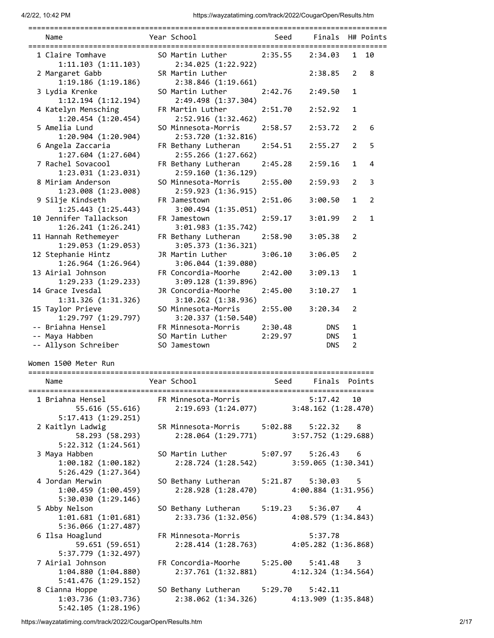| ===========                                                      | ============                                                                     |         |                  |                |        |
|------------------------------------------------------------------|----------------------------------------------------------------------------------|---------|------------------|----------------|--------|
| Name                                                             | Year School                                                                      | Seed    | Finals H# Points |                |        |
| 1 Claire Tomhave<br>1:11.103(1:11.103)                           | SO Martin Luther<br>2:34.025 (1:22.922)                                          | 2:35.55 | 2:34.03          | 1              | 10     |
| 2 Margaret Gabb<br>1:19.186 (1:19.186)                           | SR Martin Luther<br>2:38.846(1:19.661)                                           |         | 2:38.85          | 2              | 8      |
| 3 Lydia Krenke                                                   | SO Martin Luther                                                                 | 2:42.76 | 2:49.50          | 1              |        |
| 1:12.194 (1:12.194)<br>4 Katelyn Mensching<br>1:20.454(1:20.454) | 2:49.498 (1:37.304)<br>FR Martin Luther<br>2:52.916(1:32.462)                    | 2:51.70 | 2:52.92          | 1              |        |
| 5 Amelia Lund<br>1:20.904(1:20.904)                              | SO Minnesota-Morris<br>2:53.720 (1:32.816)                                       | 2:58.57 | 2:53.72          | 2              | 6      |
| 6 Angela Zaccaria<br>1:27.604 (1:27.604)                         | FR Bethany Lutheran<br>2:55.266(1:27.662)                                        | 2:54.51 | 2:55.27          | 2              | 5      |
| 7 Rachel Sovacool<br>1:23.031(1:23.031)                          | FR Bethany Lutheran<br>2:59.160(1:36.129)                                        | 2:45.28 | 2:59.16          | 1              | 4      |
| 8 Miriam Anderson<br>1:23.008(1:23.008)                          | SO Minnesota-Morris<br>2:59.923(1:36.915)                                        | 2:55.00 | 2:59.93          | 2              | 3      |
| 9 Silje Kindseth<br>1:25.443(1:25.443)                           | FR Jamestown<br>3:00.494(1:35.051)                                               | 2:51.06 | 3:00.50          | 1              | 2      |
| 10 Jennifer Tallackson<br>1:26.241(1:26.241)                     | FR Jamestown<br>3:01.983(1:35.742)                                               | 2:59.17 | 3:01.99          | 2              | 1      |
| 11 Hannah Rethemeyer<br>1:29.053 (1:29.053)                      | FR Bethany Lutheran<br>3:05.373 (1:36.321)                                       | 2:58.90 | 3:05.38          | 2              |        |
| 12 Stephanie Hintz<br>1:26.964(1:26.964)                         | JR Martin Luther<br>3:06.044 (1:39.080)                                          | 3:06.10 | 3:06.05          | 2              |        |
| 13 Airial Johnson<br>1:29.233(1:29.233)                          | FR Concordia-Moorhe<br>3:09.128(1:39.896)                                        | 2:42.00 | 3:09.13          | 1              |        |
| 14 Grace Ivesdal<br>1:31.326 (1:31.326)                          | JR Concordia-Moorhe<br>3:10.262(1:38.936)                                        | 2:45.00 | 3:10.27          | 1              |        |
| 15 Taylor Prieve<br>1:29.797(1:29.797)                           | SO Minnesota-Morris<br>3:20.337(1:50.540)                                        | 2:55.00 | 3:20.34          | 2              |        |
| -- Briahna Hensel                                                | FR Minnesota-Morris                                                              | 2:30.48 | <b>DNS</b>       | 1              |        |
| -- Maya Habben                                                   | SO Martin Luther                                                                 | 2:29.97 | <b>DNS</b>       | 1              |        |
| -- Allyson Schreiber                                             | SO Jamestown                                                                     |         | <b>DNS</b>       | $\overline{2}$ |        |
| Women 1500 Meter Run                                             |                                                                                  |         |                  |                |        |
| Name                                                             | Year School                                                                      | Seed    | Finals           |                | Points |
| 1 Briahna Hensel<br>55.616 (55.616)<br>5:17.413(1:29.251)        | FR Minnesota-Morris 5:17.42 10<br>2:19.693 (1:24.077) 3:48.162 (1:28.470)        |         |                  |                |        |
| 2 Kaitlyn Ladwig<br>58.293 (58.293)<br>5:22.312(1:24.561)        | SR Minnesota-Morris 5:02.88 5:22.32 8<br>2:28.064 (1:29.771) 3:57.752 (1:29.688) |         |                  |                |        |
| 3 Maya Habben<br>$1:00.182$ $(1:00.182)$                         | SO Martin Luther 5:07.97 5:26.43 6<br>2:28.724 (1:28.542) 3:59.065 (1:30.341)    |         |                  |                |        |
| 5:26.429(1:27.364)<br>4 Jordan Merwin<br>1:00.459(1:00.459)      | SO Bethany Lutheran 5:21.87 5:30.03 5<br>2:28.928 (1:28.470) 4:00.884 (1:31.956) |         |                  |                |        |
| 5:30.030(1:29.146)<br>5 Abby Nelson<br>1:01.681(1:01.681)        | SO Bethany Lutheran 5:19.23 5:36.07 4<br>2:33.736 (1:32.056) 4:08.579 (1:34.843) |         |                  |                |        |
| 5:36.066 (1:27.487)<br>6 Ilsa Hoaglund<br>59.651 (59.651)        | FR Minnesota-Morris<br>2:28.414 (1:28.763) 4:05.282 (1:36.868)                   |         | 5:37.78          |                |        |
| 5:37.779 (1:32.497)<br>7 Airial Johnson                          | FR Concordia-Moorhe 5:25.00 5:41.48 3                                            |         |                  |                |        |
| 1:04.880(1:04.880)<br>5:41.476(1:29.152)                         | 2:37.761 (1:32.881) 4:12.324 (1:34.564)                                          |         |                  |                |        |
| 8 Cianna Hoppe<br>1:03.736 (1:03.736)<br>5:42.105(1:28.196)      | SO Bethany Lutheran 5:29.70 5:42.11<br>2:38.062 (1:34.326) 4:13.909 (1:35.848)   |         |                  |                |        |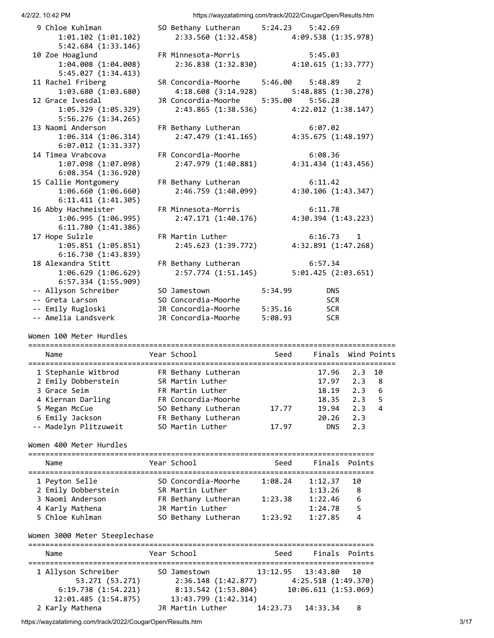| 9 Chloe Kuhlman         | SO Bethany Lutheran 5:24.23 5:42.69     |                       |                     |
|-------------------------|-----------------------------------------|-----------------------|---------------------|
| 1:01.102(1:01.102)      | 2:33.560 (1:32.458) 4:09.538 (1:35.978) |                       |                     |
| 5:42.684(1:33.146)      |                                         |                       |                     |
| 10 Zoe Hoaglund         | FR Minnesota-Morris                     |                       | 5:45.03             |
| 1:04.008(1:04.008)      | 2:36.838 (1:32.830)                     |                       | 4:10.615(1:33.777)  |
| 5:45.027(1:34.413)      |                                         |                       |                     |
| 11 Rachel Friberg       | SR Concordia-Moorhe                     | $5:46.00$ $5:48.89$ 2 |                     |
| 1:03.680 (1:03.680)     | 4:18.608 (3:14.928) 5:48.885 (1:30.278) |                       |                     |
| 12 Grace Ivesdal        | JR Concordia-Moorhe                     | 5:35.00 5:56.28       |                     |
| 1:05.329(1:05.329)      | 2:43.865 (1:38.536) 4:22.012 (1:38.147) |                       |                     |
| 5:56.276(1:34.265)      |                                         |                       |                     |
| 13 Naomi Anderson       | FR Bethany Lutheran                     | 6:07.02               |                     |
| 1:06.314(1:06.314)      | $2:47.479$ $(1:41.165)$                 |                       | 4:35.675(1:48.197)  |
| $6:07.012$ $(1:31.337)$ |                                         |                       |                     |
| 14 Timea Vrabcova       | FR Concordia-Moorhe                     | 6:08.36               |                     |
| 1:07.098(1:07.098)      | 2:47.979 (1:40.881)                     |                       | 4:31.434 (1:43.456) |
| 6:08.354(1:36.920)      |                                         |                       |                     |
| 15 Callie Montgomery    | FR Bethany Lutheran                     |                       | 6:11.42             |
| 1:06.660(1:06.660)      | 2:46.759(1:40.099)                      |                       | 4:30.106(1:43.347)  |
| 6:11.411(1:41.305)      |                                         |                       |                     |
| 16 Abby Hachmeister     | FR Minnesota-Morris                     |                       | 6:11.78             |
| 1:06.995(1:06.995)      | 2:47.171(1:40.176)                      |                       | 4:30.394(1:43.223)  |
| 6:11.780(1:41.386)      |                                         |                       |                     |
| 17 Hope Sulzle          | FR Martin Luther                        |                       | $6:16.73$ 1         |
| 1:05.851(1:05.851)      | 2:45.623 (1:39.772)                     |                       | 4:32.891 (1:47.268) |
| 6:16.730(1:43.839)      |                                         |                       |                     |
| 18 Alexandra Stitt      | FR Bethany Lutheran                     |                       | 6:57.34             |
| 1:06.629(1:06.629)      | 2:57.774 (1:51.145)                     |                       | 5:01.425(2:03.651)  |
| 6:57.334 (1:55.909)     |                                         |                       |                     |
| -- Allyson Schreiber    | SO Jamestown                            | 5:34.99               | <b>DNS</b>          |
| -- Greta Larson         | SO Concordia-Moorhe                     |                       | <b>SCR</b>          |
| -- Emily Rugloski       | JR Concordia-Moorhe                     | 5:35.16               | <b>SCR</b>          |
| -- Amelia Landsverk     | JR Concordia-Moorhe                     | 5:08.93               | <b>SCR</b>          |
|                         |                                         |                       |                     |

### Women 100 Meter Hurdles

===================================================================================== Name **Year School** Seed Finals Wind Points ===================================================================================== 1 Stephanie Witbrod FR Bethany Lutheran 17.96 2.3 10 2 Emily Dobberstein SR Martin Luther 17.97 2.3 8 3 Grace Seim FR Martin Luther 18.19 2.3 6 4 Kiernan Darling FR Concordia-Moorhe 18.35 2.3 5 5 Megan McCue SO Bethany Lutheran 17.77 19.94 2.3 4 6 Emily Jackson FR Bethany Lutheran 20.26 2.3 -- Madelyn Plitzuweit SO Martin Luther 17.97 DNS 2.3

# Women 400 Meter Hurdles

| Name                | Year School         | Seed    | Finals Points |    |
|---------------------|---------------------|---------|---------------|----|
| 1 Peyton Selle      | SO Concordia-Moorhe | 1:08.24 | 1:12.37       | 10 |
| 2 Emily Dobberstein | SR Martin Luther    |         | 1:13.26       | 8  |
| 3 Naomi Anderson    | FR Bethany Lutheran | 1:23.38 | 1:22.46       | 6  |
| 4 Karly Mathena     | JR Martin Luther    |         | 1:24.78       |    |
| 5 Chloe Kuhlman     | SO Bethany Lutheran | 1:23.92 | 1:27.85       | Δ  |

# Women 3000 Meter Steeplechase

| Name                 | Year School          | Seed                   | Finals Points        |    |  |  |  |  |  |
|----------------------|----------------------|------------------------|----------------------|----|--|--|--|--|--|
|                      |                      | 13:12.95  13:43.80  10 |                      |    |  |  |  |  |  |
| 1 Allyson Schreiber  | SO Jamestown         |                        |                      |    |  |  |  |  |  |
| 53.271 (53.271)      | 2:36.148(1:42.877)   |                        | 4:25.518 (1:49.370)  |    |  |  |  |  |  |
| 6:19.738(1:54.221)   | 8:13.542 (1:53.804)  |                        | 10:06.611 (1:53.069) |    |  |  |  |  |  |
| 12:01.485 (1:54.875) | 13:43.799 (1:42.314) |                        |                      |    |  |  |  |  |  |
| 2 Karly Mathena      | JR Martin Luther     | 14:23.73               | 14:33.34             | -8 |  |  |  |  |  |

https://wayzatatiming.com/track/2022/CougarOpen/Results.htm 3/17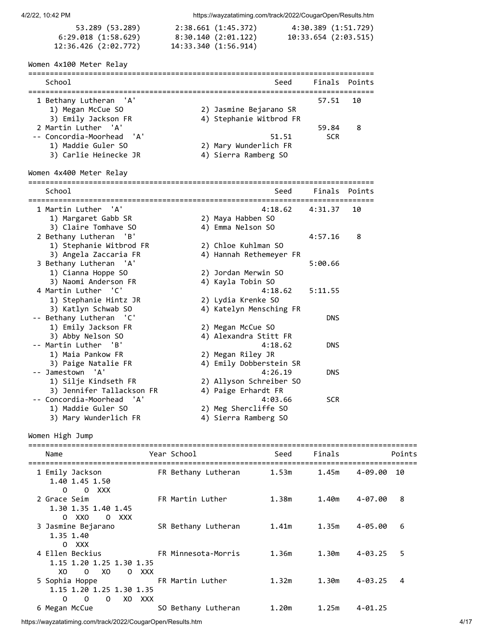| 53.289 (53.289)      | 2:38.661 (1:45.372)  | 4:30.389 (1:51.729)  |
|----------------------|----------------------|----------------------|
| 6:29.018 (1:58.629)  | 8:30.140 (2:01.122)  | 10:33.654 (2:03.515) |
| 12:36.426 (2:02.772) | 14:33.340 (1:56.914) |                      |

# Women 4x100 Meter Relay

| School                    | Seed                    | Finals Points |     |
|---------------------------|-------------------------|---------------|-----|
| 1 Bethany Lutheran 'A'    |                         | 57.51         | -10 |
| 1) Megan McCue SO         | 2) Jasmine Bejarano SR  |               |     |
| 3) Emily Jackson FR       | 4) Stephanie Witbrod FR |               |     |
| 2 Martin Luther 'A'       |                         | 59.84         | 8   |
| -- Concordia-Moorhead 'A' | 51.51                   | <b>SCR</b>    |     |
| 1) Maddie Guler SO        | 2) Mary Wunderlich FR   |               |     |
| 3) Carlie Heinecke JR     | 4) Sierra Ramberg SO    |               |     |

# Women 4x400 Meter Relay

================================================================================ School Seed Finals Points

| 1 Martin Luther 'A'                     | $4:18.62$ $4:31.37$                |            | 10 |
|-----------------------------------------|------------------------------------|------------|----|
| 1) Margaret Gabb SR                     | 2) Maya Habben SO                  |            |    |
| 3) Claire Tomhave SO                    | 4) Emma Nelson SO                  |            |    |
| 2 Bethany Lutheran 'B'                  |                                    | 4:57.16    | 8  |
| 1) Stephanie Witbrod FR                 | 2) Chloe Kuhlman SO                |            |    |
| 3) Angela Zaccaria FR                   | 4) Hannah Rethemeyer FR            |            |    |
| 3 Bethany Lutheran 'A'                  |                                    | 5:00.66    |    |
| 1) Cianna Hoppe SO                      | 2) Jordan Merwin SO                |            |    |
| 3) Naomi Anderson FR                    | 4) Kayla Tobin SO                  |            |    |
| 4 Martin Luther 'C'                     | 4:18.62                            | 5:11.55    |    |
| 1) Stephanie Hintz JR                   | 2) Lydia Krenke SO                 |            |    |
| 3) Katlyn Schwab SO                     | 4) Katelyn Mensching FR            |            |    |
| -- Bethany Lutheran 'C'                 |                                    | <b>DNS</b> |    |
| 1) Emily Jackson FR                     | 2) Megan McCue SO                  |            |    |
| 3) Abby Nelson SO                       | 4) Alexandra Stitt FR              |            |    |
| -- Martin Luther 'B'                    | 4:18.62                            | <b>DNS</b> |    |
| 1) Maia Pankow FR                       | 2) Megan Riley JR                  |            |    |
| 3) Paige Natalie FR<br>-- Jamestown 'A' | 4) Emily Dobberstein SR<br>4:26.19 | <b>DNS</b> |    |
| 1) Silje Kindseth FR                    | 2) Allyson Schreiber SO            |            |    |
| 3) Jennifer Tallackson FR               | 4) Paige Erhardt FR                |            |    |
| -- Concordia-Moorhead 'A'               | 4:03.66                            | <b>SCR</b> |    |
| 1) Maddie Guler SO                      | 2) Meg Shercliffe SO               |            |    |
| 3) Mary Wunderlich FR                   | 4) Sierra Ramberg SO               |            |    |
|                                         |                                    |            |    |

Women High Jump

| Name                                                                                     | Year School         | Seed              | Finals |             | Points |
|------------------------------------------------------------------------------------------|---------------------|-------------------|--------|-------------|--------|
| 1 Emily Jackson<br>1.40 1.45 1.50<br>$\Omega$<br>O XXX                                   | FR Bethany Lutheran | 1.53m             | 1.45m  | 4-09.00     | 10     |
| 2 Grace Seim<br>1.30 1.35 1.40 1.45<br>$0 \times X0$<br>O XXX                            | FR Martin Luther    | 1.38m             | 1.40m  | 4-07.00     | 8      |
| 3 Jasmine Bejarano<br>1.35 1.40<br>0 XXX                                                 | SR Bethany Lutheran | 1.41m             | 1.35m  | 4-05.00     | 6      |
| 4 Ellen Beckius<br>1.15 1.20 1.25 1.30 1.35<br>XO.<br>$0 \times 0$<br>O XXX              | FR Minnesota-Morris | 1.36m             | 1.30m  | $4 - 03.25$ | 5      |
| 5 Sophia Hoppe TR Martin Luther<br>1.15 1.20 1.25 1.30 1.35<br>0<br>0<br>0<br>XXX<br>XO. |                     | 1.32m             | 1.30m  | $4 - 03.25$ | 4      |
| 6 Megan McCue                                                                            | SO Bethany Lutheran | 1.20 <sub>m</sub> | 1.25m  | $4 - 01.25$ |        |

https://wayzatatiming.com/track/2022/CougarOpen/Results.htm 4/17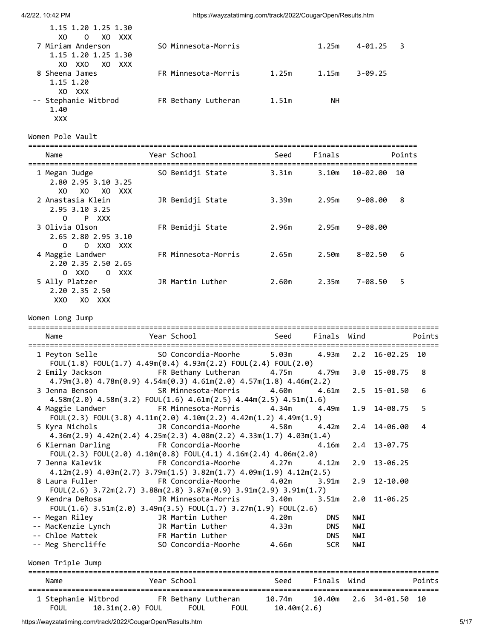| 1.15 1.20 1.25 1.30                         |                     |       |       |             |  |
|---------------------------------------------|---------------------|-------|-------|-------------|--|
| XO.<br>xxx<br>XO<br>0<br>7 Miriam Anderson  | SO Minnesota-Morris |       | 1.25m | $4 - 01.25$ |  |
| 1.15 1.20 1.25 1.30<br>XO XXO<br>XO.<br>XXX |                     |       |       |             |  |
| 8 Sheena James<br>1.15 1.20                 | FR Minnesota-Morris | 1.25m | 1.15m | $3 - 09.25$ |  |
| XO XXX<br>-- Stephanie Witbrod<br>1.40      | FR Bethany Lutheran | 1.51m | NΗ    |             |  |

Women Pole Vault

XXX

| Name                                                                   | Year School         | Seed  | Finals |             | Points |
|------------------------------------------------------------------------|---------------------|-------|--------|-------------|--------|
| 1 Megan Judge<br>2.80 2.95 3.10 3.25<br>XO<br>XO.<br>XO XXX            | SO Bemidji State    | 3.31m | 3.10m  | 10-02.00    | 10     |
| 2 Anastasia Klein<br>2.95 3.10 3.25<br>P XXX<br>0                      | JR Bemidji State    | 3.39m | 2.95m  | $9 - 08.00$ | 8      |
| 3 Olivia Olson<br>2.65 2.80 2.95 3.10<br>0<br>0 XXO<br><b>XXX</b>      | FR Bemidji State    | 2.96m | 2.95m  | $9 - 08.00$ |        |
| 4 Maggie Landwer<br>2.20 2.35 2.50 2.65<br>XXX<br>xxo<br>$\Omega$<br>0 | FR Minnesota-Morris | 2.65m | 2.50m  | $8 - 02.50$ | 6      |
| 5 Ally Platzer<br>2.20 2.35 2.50                                       | JR Martin Luther    | 2.60m | 2.35m  | $7 - 08.50$ | 5      |

Women Long Jump

XXO XO XXX

| Name<br>______________________________                                                                                                                       | =========================<br>Year School                               Seed      Finals   Wind | =========================== |             |     |                          | Points |
|--------------------------------------------------------------------------------------------------------------------------------------------------------------|------------------------------------------------------------------------------------------------|-----------------------------|-------------|-----|--------------------------|--------|
| 1 Peyton Selle 5.0 SO Concordia-Moorhe 5.03m 4.93m 2.2 16-02.25 10<br>FOUL $(1.8)$ FOUL $(1.7)$ 4.49m $(0.4)$ 4.93m $(2.2)$ FOUL $(2.4)$ FOUL $(2.0)$        |                                                                                                |                             |             |     |                          |        |
| 2 Emily Jackson FR Bethany Lutheran 4.75m 4.79m<br>$4.79m(3.0)$ $4.78m(0.9)$ $4.54m(0.3)$ $4.61m(2.0)$ $4.57m(1.8)$ $4.46m(2.2)$                             |                                                                                                |                             |             |     | 3.0 15-08.75             | 8      |
| 3 Jenna Benson SR Minnesota-Morris 4.60m 4.61m<br>$4.58m(2.0)$ $4.58m(3.2)$ $FOUL(1.6)$ $4.61m(2.5)$ $4.44m(2.5)$ $4.51m(1.6)$                               |                                                                                                |                             |             |     | 2.5 15-01.50             | 6      |
| 4.34m andwer FR Minnesota-Morris 4.34m 4.49m<br>$FOUL(2.3)$ $FOUL(3.8)$ $4.11m(2.0)$ $4.10m(2.2)$ $4.42m(1.2)$ $4.49m(1.9)$                                  |                                                                                                |                             |             |     | 1.9 14-08.75             | 5      |
| 5 Kyra Nichols <b>3 Contains 18 Contains A.58m</b> 4.42m<br>$4.36m(2.9)$ $4.42m(2.4)$ $4.25m(2.3)$ $4.08m(2.2)$ $4.33m(1.7)$ $4.03m(1.4)$                    |                                                                                                |                             |             |     | 2.4 14-06.00             | 4      |
| 6 Kiernan Darling<br>FOUL(2.3) FOUL(2.0) $4.10m(0.8)$ FOUL(4.1) $4.16m(2.4)$ $4.06m(2.0)$                                                                    | FR Concordia-Moorhe                                                                            |                             | 4.16m       |     | 2.4 13-07.75             |        |
| 7 Jenna Kalevik               FR Concordia-Moorhe         4.27m       4.12m<br>$4.12m(2.9)$ $4.03m(2.7)$ $3.79m(1.5)$ $3.82m(1.7)$ $4.09m(1.9)$ $4.12m(2.5)$ |                                                                                                |                             |             |     | 2.9 13-06.25             |        |
| 8 Laura Fuller <b>1.90 FR</b> Concordia-Moorhe 4.02m 3.91m<br>FOUL(2.6) $3.72m(2.7)$ $3.88m(2.8)$ $3.87m(0.9)$ $3.91m(2.9)$ $3.91m(1.7)$                     |                                                                                                |                             |             |     | 2.9 12-10.00             |        |
| 9 Kendra DeRosa<br>FOUL $(1.6)$ 3.51m $(2.0)$ 3.49m $(3.5)$ FOUL $(1.7)$ 3.27m $(1.9)$ FOUL $(2.6)$                                                          | JR Minnesota-Morris                                                                            | 3.40m                       |             |     | $3.51m$ $2.0$ $11-06.25$ |        |
| -- Megan Riley                                                                                                                                               | JR Martin Luther 4.20m                                                                         |                             | <b>DNS</b>  | NWI |                          |        |
| -- MacKenzie Lynch TR Martin Luther 4.33m                                                                                                                    |                                                                                                |                             | <b>DNS</b>  | NWI |                          |        |
| -- Chloe Mattek                                                                                                                                              | FR Martin Luther                                                                               |                             | <b>DNS</b>  | NWI |                          |        |
| -- Meg Shercliffe 50 Concordia-Moorhe 4.66m                                                                                                                  |                                                                                                |                             | <b>SCR</b>  | NWI |                          |        |
| Women Triple Jump                                                                                                                                            |                                                                                                |                             |             |     |                          |        |
| Name                                                                                                                                                         | Year School Seed                                                                               |                             | Finals Wind |     |                          | Points |
| 1 Stephanie Witbrod FR Bethany Lutheran 10.74m 10.40m 2.6 34-01.50 10<br><b>FOUL</b>                                                                         | 10.31m(2.0) FOUL  FOUL  FOUL  10.40m(2.6)                                                      |                             |             |     |                          |        |

https://wayzatatiming.com/track/2022/CougarOpen/Results.htm 5/17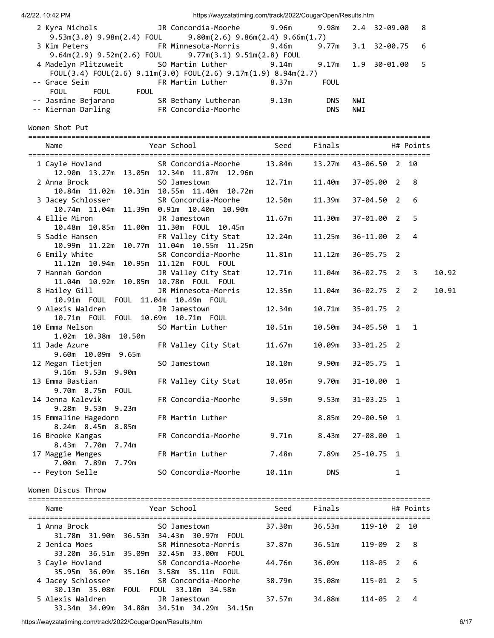| 2 Kyra Nichols      |                                                                       |       |             |     |  |
|---------------------|-----------------------------------------------------------------------|-------|-------------|-----|--|
|                     | $9.53m(3.0)$ $9.98m(2.4)$ FOUL $9.80m(2.6)$ $9.86m(2.4)$ $9.66m(1.7)$ |       |             |     |  |
|                     | 3 Kim Peters 6 6 FR Minnesota-Morris 9.46m 9.77m 3.1 32-00.75 6       |       |             |     |  |
|                     | 9.64m(2.9) 9.52m(2.6) FOUL 9.77m(3.1) 9.51m(2.8) FOUL                 |       |             |     |  |
|                     | 4 Madelyn Plitzuweit 50 Martin Luther 9.14m 9.17m 1.9 30-01.00 5      |       |             |     |  |
|                     | FOUL(3.4) FOUL(2.6) $9.11m(3.0)$ FOUL(2.6) $9.17m(1.9)$ 8.94m(2.7)    |       |             |     |  |
|                     | -- Grace Seim <b>FR Martin Luther</b>                                 | 8.37m | <b>FOUL</b> |     |  |
| FOUL<br><b>FOUL</b> | FOUL                                                                  |       |             |     |  |
| -- Jasmine Bejarano | SR Bethany Lutheran                                                   | 9.13m | <b>DNS</b>  | NWI |  |
| -- Kiernan Darling  | FR Concordia-Moorhe                                                   |       | <b>DNS</b>  | NWI |  |

Women Shot Put

| Name                                       | Year School                                                     | Seed   | Finals                              |                |   | H# Points      |       |
|--------------------------------------------|-----------------------------------------------------------------|--------|-------------------------------------|----------------|---|----------------|-------|
|                                            |                                                                 |        |                                     |                |   |                |       |
| 1 Cayle Hovland                            | SR Concordia-Moorhe                                             |        | 13.84m   13.27m   43-06.50   2   10 |                |   |                |       |
|                                            | 12.90m  13.27m  13.05m  12.34m  11.87m  12.96m                  |        |                                     |                |   |                |       |
| 2 Anna Brock                               | SO Jamestown                                                    | 12.71m | 11.40m                              | 37-05.00 2     |   | 8              |       |
|                                            | 10.84m 11.02m 10.31m 10.55m 11.40m 10.72m                       |        |                                     |                |   |                |       |
| 3 Jacey Schlosser                          | SR Concordia-Moorhe<br>10.74m 11.04m 11.39m 0.91m 10.40m 10.90m | 12.50m | 11.39m                              | $37 - 04.50$ 2 |   | 6              |       |
| 4 Ellie Miron                              | JR Jamestown                                                    | 11.67m | 11.30m                              | 37-01.00 2     |   | 5              |       |
|                                            | 10.48m  10.85m  11.00m  11.30m  FOUL  10.45m                    |        |                                     |                |   |                |       |
| 5 Sadie Hansen                             | FR Valley City Stat                                             | 12.24m | 11.25m                              | $36 - 11.00$ 2 |   | $\overline{4}$ |       |
|                                            | 10.99m 11.22m 10.77m 11.04m 10.55m 11.25m                       |        |                                     |                |   |                |       |
| 6 Emily White                              | SR Concordia-Moorhe                                             | 11.81m | 11.12m                              | $36 - 05.75$ 2 |   |                |       |
| 11.12m 10.94m 10.95m 11.12m FOUL FOUL      |                                                                 |        |                                     |                |   |                |       |
| 7 Hannah Gordon                            | JR Valley City Stat                                             | 12.71m | 11.04m                              | $36 - 02.75$ 2 |   | 3              | 10.92 |
| 11.04m  10.92m  10.85m  10.78m  FOUL  FOUL |                                                                 |        |                                     |                |   |                |       |
| 8 Hailey Gill                              | JR Minnesota-Morris                                             | 12.35m | 11.04m                              | $36 - 02.75$ 2 |   | 2              | 10.91 |
| 10.91m  FOUL  FOUL  11.04m  10.49m  FOUL   |                                                                 |        |                                     |                |   |                |       |
| 9 Alexis Waldren                           | JR Jamestown                                                    | 12.34m | 10.71m                              | $35 - 01.75$ 2 |   |                |       |
| 10.71m  FOUL  FOUL  10.69m  10.71m  FOUL   |                                                                 |        |                                     |                |   |                |       |
| 10 Emma Nelson                             | SO Martin Luther                                                | 10.51m | 10.50m                              | $34 - 05.50$ 1 |   | $\mathbf{1}$   |       |
| 1.02m 10.38m 10.50m                        |                                                                 |        |                                     |                |   |                |       |
| 11 Jade Azure                              | FR Valley City Stat                                             | 11.67m | 10.09m                              | $33 - 01.25$ 2 |   |                |       |
| 9.60m 10.09m 9.65m                         |                                                                 |        |                                     |                |   |                |       |
| 12 Megan Tietjen                           | SO Jamestown                                                    | 10.10m | 9.90m                               | $32 - 05.75$ 1 |   |                |       |
| 9.16m 9.53m 9.90m                          |                                                                 |        |                                     |                |   |                |       |
| 13 Emma Bastian                            | FR Valley City Stat                                             | 10.05m | 9.70m                               | $31 - 10.00$ 1 |   |                |       |
| 9.70m 8.75m FOUL                           |                                                                 |        |                                     |                |   |                |       |
| 14 Jenna Kalevik                           | FR Concordia-Moorhe                                             | 9.59m  | 9.53m                               | $31 - 03.25$ 1 |   |                |       |
| 9.28m 9.53m 9.23m                          |                                                                 |        |                                     |                |   |                |       |
| 15 Emmaline Hagedorn<br>8.24m 8.45m 8.85m  | FR Martin Luther                                                |        | 8.85m                               | 29-00.50 1     |   |                |       |
|                                            | FR Concordia-Moorhe                                             | 9.71m  | 8.43m                               | 27-08.00 1     |   |                |       |
| 16 Brooke Kangas<br>8.43m 7.70m 7.74m      |                                                                 |        |                                     |                |   |                |       |
| 17 Maggie Menges                           | FR Martin Luther                                                | 7.48m  | 7.89m                               | $25 - 10.75$ 1 |   |                |       |
| 7.00m 7.89m 7.79m                          |                                                                 |        |                                     |                |   |                |       |
| -- Peyton Selle                            | SO Concordia-Moorhe                                             | 10.11m | <b>DNS</b>                          |                | 1 |                |       |
|                                            |                                                                 |        |                                     |                |   |                |       |

Women Discus Throw

| Name                                  | Year School                                                                                  | Seed   | Finals |          |               | H# Points |
|---------------------------------------|----------------------------------------------------------------------------------------------|--------|--------|----------|---------------|-----------|
| 1 Anna Brock                          | SO Jamestown<br>31.78m 31.90m 36.53m 34.43m 30.97m FOUL                                      | 37.30m | 36.53m | 119-10   |               | 2 10      |
| 2 Jenica Moes<br>33.20m 36.51m 35.09m | SR Minnesota-Morris<br>32.45m 33.00m FOUL                                                    | 37.87m | 36.51m | 119-09   | 2             | - 8       |
|                                       | 3 Cayle Hovland SR Concordia-Moorhe<br>35.95m    36.09m    35.16m    3.58m    35.11m    FOUL | 44.76m | 36.09m | 118-05 2 |               | - 6       |
| 4 Jacey Schlosser<br>30.13m 35.08m    | SR Concordia-Moorhe<br>FOUL 33.10m 34.58m<br>FOUL                                            | 38.79m | 35.08m | 115-01   | $\mathcal{L}$ | - 5       |
| 5 Alexis Waldren<br>33.34m 34.09m     | JR Jamestown<br>34.51m 34.29m 34.15m<br>34.88m                                               | 37.57m | 34.88m | 114-05   | 2             | 4         |

https://wayzatatiming.com/track/2022/CougarOpen/Results.htm 6/17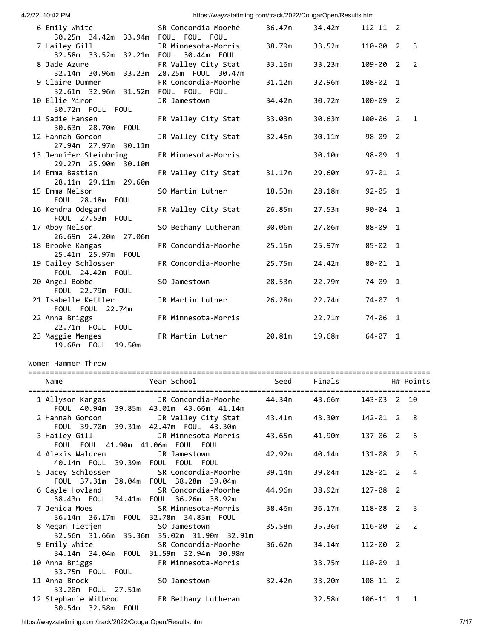| 4/2/22, 10:42 PM |  |
|------------------|--|
|                  |  |

|         | 4/2/22, 10:42 PM                                                                                       | https://wayzatatiming.com/track/2022/CougarOpen/Results.htm |        |        |              |                |                |
|---------|--------------------------------------------------------------------------------------------------------|-------------------------------------------------------------|--------|--------|--------------|----------------|----------------|
|         | 6 Emily White<br>30.25m  34.42m  33.94m  FOUL  FOUL  FOUL                                              | SR Concordia-Moorhe                                         | 36.47m | 34.42m | $112 - 11$ 2 |                |                |
|         | 7 Hailey Gill                                                                                          | JR Minnesota-Morris                                         | 38.79m | 33.52m | 110-00       | $\overline{2}$ | 3              |
|         | 8 Jade Azure<br>32.14m 30.96m 33.23m 28.25m FOUL 30.47m                                                | FR Valley City Stat                                         | 33.16m | 33.23m | 109-00 2     |                | $\overline{2}$ |
|         | 9 Claire Dummer                                                                                        | FR Concordia-Moorhe                                         | 31.12m | 32.96m | 108-02 1     |                |                |
|         | 10 Ellie Miron<br>30.72m FOUL FOUL                                                                     | JR Jamestown                                                | 34.42m | 30.72m | 100-09 2     |                |                |
|         | 11 Sadie Hansen<br>30.63m 28.70m FOUL                                                                  | FR Valley City Stat                                         | 33.03m | 30.63m | 100-06       | $\overline{2}$ | $\mathbf{1}$   |
|         | 12 Hannah Gordon<br>27.94m 27.97m 30.11m                                                               | JR Valley City Stat                                         | 32.46m | 30.11m | 98-09 2      |                |                |
|         | 13 Jennifer Steinbring<br>29.27m 25.90m 30.10m                                                         | FR Minnesota-Morris                                         |        | 30.10m | 98-09 1      |                |                |
|         | 14 Emma Bastian<br>28.11m 29.11m 29.60m                                                                | FR Valley City Stat                                         | 31.17m | 29.60m | $97 - 01$ 2  |                |                |
|         | 15 Emma Nelson<br>FOUL 28.18m FOUL                                                                     | SO Martin Luther                                            | 18.53m | 28.18m | $92 - 05$ 1  |                |                |
|         | 16 Kendra Odegard<br>FOUL 27.53m FOUL                                                                  | FR Valley City Stat                                         | 26.85m | 27.53m | $90 - 04$ 1  |                |                |
|         | 17 Abby Nelson<br>26.69m 24.20m 27.06m                                                                 | SO Bethany Lutheran                                         | 30.06m | 27.06m | 88-09 1      |                |                |
|         | 18 Brooke Kangas<br>25.41m 25.97m FOUL                                                                 | FR Concordia-Moorhe                                         | 25.15m | 25.97m | $85 - 02$ 1  |                |                |
|         | 19 Cailey Schlosser<br>FOUL 24.42m FOUL                                                                | FR Concordia-Moorhe                                         | 25.75m | 24.42m | $80 - 01$ 1  |                |                |
|         | 20 Angel Bobbe<br>FOUL 22.79m FOUL                                                                     | SO Jamestown                                                | 28.53m | 22.79m | 74-09 1      |                |                |
|         | 21 Isabelle Kettler<br>FOUL FOUL 22.74m                                                                | JR Martin Luther                                            | 26.28m | 22.74m | $74 - 07$ 1  |                |                |
|         | 22 Anna Briggs<br>22.71m FOUL FOUL                                                                     | FR Minnesota-Morris                                         |        | 22.71m | 74-06 1      |                |                |
|         | 23 Maggie Menges<br>19.68m  FOUL  19.50m                                                               | FR Martin Luther                                            | 20.81m | 19.68m | $64 - 07$ 1  |                |                |
|         | Women Hammer Throw                                                                                     |                                                             |        |        |              |                |                |
|         | Name                                                                                                   | Year School                                                 | Seed   | Finals |              |                | H# Points      |
| ======: | ======================<br>1 Allyson Kangas                                                             | JR Concordia-Moorhe                                         | 44.34m | 43.66m | $143 - 03$ 2 |                | - 10           |
|         | FOUL 40.94m 39.85m 43.01m 43.66m 41.14m<br>2 Hannah Gordon                                             | JR Valley City Stat                                         | 43.41m | 43.30m | 142-01 2     |                | 8              |
|         | FOUL 39.70m 39.31m 42.47m FOUL 43.30m<br>3 Hailey Gill                                                 | JR Minnesota-Morris                                         | 43.65m | 41.90m | 137-06 2     |                | 6              |
|         | FOUL FOUL 41.90m 41.06m FOUL FOUL<br>4 Alexis Waldren                                                  | JR Jamestown                                                | 42.92m | 40.14m | 131-08 2     |                | 5              |
|         | 40.14m FOUL 39.39m FOUL FOUL FOUL<br>5 Jacey Schlosser                                                 | SR Concordia-Moorhe                                         | 39.14m | 39.04m | $128 - 01$ 2 |                | $\overline{4}$ |
|         | FOUL 37.31m 38.04m FOUL 38.28m 39.04m<br>6 Cayle Hovland<br>38.43m  FOUL  34.41m  FOUL  36.26m  38.92m | SR Concordia-Moorhe                                         | 44.96m | 38.92m | 127-08 2     |                |                |
|         | 7 Jenica Moes                                                                                          | SR Minnesota-Morris                                         | 38.46m | 36.17m | 118-08 2     |                | 3              |
|         | 8 Megan Tietjen                                                                                        | SO Jamestown<br>32.56m 31.66m 35.36m 35.02m 31.90m 32.91m   | 35.58m | 35.36m | 116-00 2     |                | $\overline{2}$ |
|         | 9 Emily White<br>34.14m  34.04m  FOUL  31.59m  32.94m  30.98m                                          | SR Concordia-Moorhe                                         | 36.62m | 34.14m | 112-00 2     |                |                |
|         | 10 Anna Briggs<br>33.75m FOUL FOUL                                                                     | FR Minnesota-Morris                                         |        | 33.75m | 110-09 1     |                |                |
|         |                                                                                                        |                                                             |        |        |              |                |                |

11 Anna Brock SO Jamestown 32.42m 33.20m 108-11 2

12 Stephanie Witbrod FR Bethany Lutheran 32.58m 106-11 1 1

33.20m FOUL 27.51m

30.54m 32.58m FOUL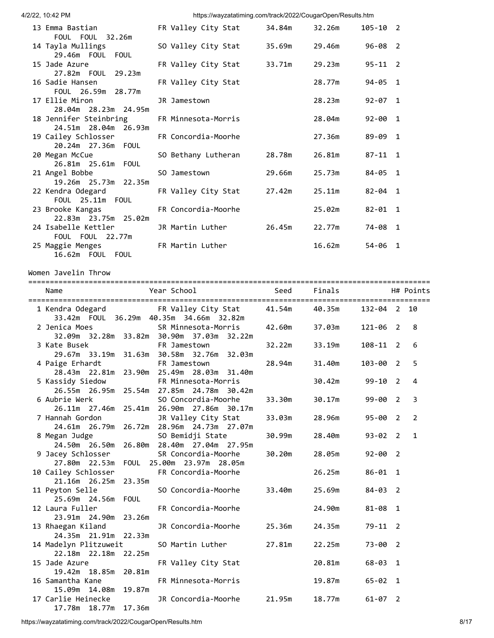| 4/2/22, 10:42 PM                                                       |             | https://wayzatatiming.com/track/2022/CougarOpen/Results.htm                                   |        |        |              |                |
|------------------------------------------------------------------------|-------------|-----------------------------------------------------------------------------------------------|--------|--------|--------------|----------------|
| 13 Emma Bastian<br>FOUL FOUL 32.26m                                    |             | FR Valley City Stat                                                                           | 34.84m | 32.26m | $105 - 10$ 2 |                |
| 14 Tayla Mullings<br>29.46m FOUL FOUL                                  |             | SO Valley City Stat                                                                           | 35.69m | 29.46m | $96 - 08$ 2  |                |
| 15 Jade Azure<br>27.82m  FOUL  29.23m                                  |             | FR Valley City Stat                                                                           | 33.71m | 29.23m | $95 - 11$ 2  |                |
| 16 Sadie Hansen<br>FOUL 26.59m 28.77m                                  |             | FR Valley City Stat                                                                           |        | 28.77m | 94-05 1      |                |
| 17 Ellie Miron<br>28.04m 28.23m 24.95m                                 |             | JR Jamestown                                                                                  |        | 28.23m | $92 - 07$ 1  |                |
| 18 Jennifer Steinbring<br>24.51m 28.04m                                | 26.93m      | FR Minnesota-Morris                                                                           |        | 28.04m | $92 - 00$ 1  |                |
| 19 Cailey Schlosser<br>20.24m 27.36m                                   | FOUL        | FR Concordia-Moorhe                                                                           |        | 27.36m | 89-09 1      |                |
| 20 Megan McCue<br>26.81m  25.61m  FOUL                                 |             | SO Bethany Lutheran                                                                           | 28.78m | 26.81m | $87 - 11$ 1  |                |
| 21 Angel Bobbe<br>19.26m 25.73m 22.35m                                 |             | SO Jamestown                                                                                  | 29.66m | 25.73m | 84-05 1      |                |
| 22 Kendra Odegard<br>FOUL 25.11m FOUL                                  |             | FR Valley City Stat                                                                           | 27.42m | 25.11m | $82 - 04$ 1  |                |
| 23 Brooke Kangas<br>22.83m 23.75m 25.02m                               |             | FR Concordia-Moorhe                                                                           |        | 25.02m | $82 - 01$ 1  |                |
| 24 Isabelle Kettler<br>FOUL FOUL 22.77m                                |             | JR Martin Luther                                                                              | 26.45m | 22.77m | 74-08 1      |                |
| 25 Maggie Menges<br>16.62m FOUL FOUL                                   |             | FR Martin Luther                                                                              |        | 16.62m | 54-06 1      |                |
| Women Javelin Throw                                                    |             |                                                                                               |        |        |              |                |
|                                                                        |             |                                                                                               |        |        |              |                |
| Name                                                                   |             | Year School                                                                                   | Seed   | Finals |              | H# Points      |
|                                                                        |             | 1 Kendra Odegard               FR Valley City Stat<br>33.42m FOUL 36.29m 40.35m 34.66m 32.82m | 41.54m | 40.35m | 132-04 2     | 10             |
|                                                                        |             |                                                                                               |        |        |              |                |
| 2 Jenica Moes                                                          |             | SR Minnesota-Morris                                                                           | 42.60m | 37.03m | 121-06 2     | 8              |
| 3 Kate Busek                                                           |             | 32.09m  32.28m  33.82m  30.90m  37.03m  32.22m<br>FR Jamestown                                | 32.22m | 33.19m | $108 - 11$ 2 | 6              |
| 4 Paige Erhardt                                                        |             | 29.67m 33.19m 31.63m 30.58m 32.76m 32.03m<br>FR Jamestown                                     | 28.94m | 31.40m | 103-00 2     | 5              |
| 5 Kassidy Siedow                                                       |             | 28.43m  22.81m  23.90m  25.49m  28.03m  31.40m<br>FR Minnesota-Morris                         |        | 30.42m | $99 - 10$ 2  | 4              |
| 6 Aubrie Werk                                                          |             | 26.55m 26.95m 25.54m 27.85m 24.78m 30.42m<br>SO Concordia-Moorhe                              | 33.30m | 30.17m | 99-00 2      | 3              |
| 7 Hannah Gordon                                                        |             | 26.11m 27.46m 25.41m 26.90m 27.86m 30.17m<br>JR Valley City Stat                              | 33.03m | 28.96m | $95 - 00$ 2  | $\overline{2}$ |
| 8 Megan Judge                                                          |             | 24.61m  26.79m  26.72m  28.96m  24.73m  27.07m<br>SO Bemidji State                            | 30.99m | 28.40m | $93 - 02$ 2  | $\mathbf{1}$   |
| 9 Jacey Schlosser                                                      |             | 24.50m  26.50m  26.80m  28.40m  27.04m  27.95m<br>SR Concordia-Moorhe                         | 30.20m | 28.05m | $92 - 00$ 2  |                |
| 10 Cailey Schlosser                                                    |             | 27.80m  22.53m  FOUL  25.00m  23.97m  28.05m<br>FR Concordia-Moorhe                           |        | 26.25m | $86 - 01$ 1  |                |
| 21.16m 26.25m<br>11 Peyton Selle                                       | 23.35m      | SO Concordia-Moorhe                                                                           | 33.40m | 25.69m | $84 - 03$ 2  |                |
| 25.69m 24.56m<br>12 Laura Fuller                                       | <b>FOUL</b> | FR Concordia-Moorhe                                                                           |        | 24.90m | $81 - 08$ 1  |                |
| 23.91m 24.90m<br>13 Rhaegan Kiland                                     | 23.26m      | JR Concordia-Moorhe                                                                           | 25.36m | 24.35m | $79 - 11$ 2  |                |
| 24.35m 21.91m 22.33m<br>14 Madelyn Plitzuweit                          |             | SO Martin Luther                                                                              | 27.81m | 22.25m | $73 - 00$ 2  |                |
| 22.18m  22.18m  22.25m<br>15 Jade Azure                                |             | FR Valley City Stat                                                                           |        | 20.81m | $68 - 03$ 1  |                |
| 19.42m 18.85m 20.81m<br>16 Samantha Kane                               |             | FR Minnesota-Morris                                                                           |        | 19.87m | $65 - 02$ 1  |                |
| 15.09m  14.08m  19.87m<br>17 Carlie Heinecke<br>17.78m  18.77m  17.36m |             | JR Concordia-Moorhe                                                                           | 21.95m | 18.77m | $61 - 07$ 2  |                |

https://wayzatatiming.com/track/2022/CougarOpen/Results.htm 8/17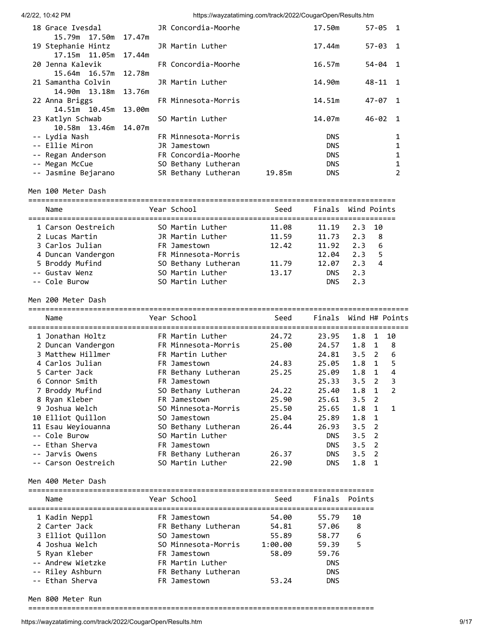| 4/2/22, 10:42 PM |  |
|------------------|--|

https://wayzatatiming.com/track/2022/CougarOpen/Results.htm

| 18 Grace Ivesdal       | JR Concordia-Moorhe |        | 17.50m     | $57 - 05$ 1 |                |
|------------------------|---------------------|--------|------------|-------------|----------------|
| 15.79m  17.50m  17.47m |                     |        |            |             |                |
| 19 Stephanie Hintz     | JR Martin Luther    |        | 17.44m     | $57 - 03$ 1 |                |
| 17.15m  11.05m  17.44m |                     |        |            |             |                |
| 20 Jenna Kalevik       | FR Concordia-Moorhe |        | 16.57m     | $54 - 04$ 1 |                |
| 15.64m  16.57m  12.78m |                     |        |            |             |                |
| 21 Samantha Colvin     | JR Martin Luther    |        | 14.90m     | $48 - 11$ 1 |                |
| 14.90m  13.18m  13.76m |                     |        |            |             |                |
| 22 Anna Briggs         | FR Minnesota-Morris |        | 14.51m     | 47-07 1     |                |
| 14.51m 10.45m 13.00m   |                     |        |            |             |                |
| 23 Katlyn Schwab       | SO Martin Luther    |        | 14.07m     | $46 - 02$ 1 |                |
| 10.58m  13.46m  14.07m |                     |        |            |             |                |
| -- Lydia Nash          | FR Minnesota-Morris |        | <b>DNS</b> |             |                |
| -- Ellie Miron         | JR Jamestown        |        | <b>DNS</b> |             | 1              |
| -- Regan Anderson      | FR Concordia-Moorhe |        | <b>DNS</b> |             | 1              |
| -- Megan McCue         | SO Bethany Lutheran |        | <b>DNS</b> |             |                |
| -- Jasmine Bejarano    | SR Bethany Lutheran | 19.85m | <b>DNS</b> |             | $\overline{2}$ |
|                        |                     |        |            |             |                |

Men 100 Meter Dash

| Name               | Year School         | Seed  |            | Finals Wind Points    |
|--------------------|---------------------|-------|------------|-----------------------|
| 1 Carson Oestreich | SO Martin Luther    | 11.08 | 11.19      | 2.3 10                |
| 2 Lucas Martin     | JR Martin Luther    | 11.59 | 11.73      | 2.3<br>8              |
| 3 Carlos Julian    | FR Jamestown        | 12.42 | 11.92      | 2.3<br>6              |
| 4 Duncan Vandergon | FR Minnesota-Morris |       | 12.04      | 2.3                   |
| 5 Broddy Mufind    | SO Bethany Lutheran | 11.79 | 12.07      | 2.3<br>$\overline{a}$ |
| -- Gustav Wenz     | SO Martin Luther    | 13.17 | <b>DNS</b> | 2.3                   |
| -- Cole Burow      | SO Martin Luther    |       | <b>DNS</b> | 2.3                   |

Men 200 Meter Dash

| Name                | Year School         | Seed  | Finals     |               |                | Wind H# Points |
|---------------------|---------------------|-------|------------|---------------|----------------|----------------|
| 1 Jonathan Holtz    | FR Martin Luther    | 24.72 | 23.95      | 1.8           | 1              | 10             |
| 2 Duncan Vandergon  | FR Minnesota-Morris | 25.00 | 24.57      | 1.8           | 1              | 8              |
| 3 Matthew Hillmer   | FR Martin Luther    |       | 24.81      | $3.5 \quad 2$ |                | 6              |
| 4 Carlos Julian     | FR Jamestown        | 24.83 | 25.05      | 1.8           | $\overline{1}$ | 5              |
| 5 Carter Jack       | FR Bethany Lutheran | 25.25 | 25.09      | 1.8           | $\mathbf{1}$   | 4              |
| 6 Connor Smith      | FR Jamestown        |       | 25.33      | $3.5 \quad 2$ |                | 3              |
| 7 Broddy Mufind     | SO Bethany Lutheran | 24.22 | 25.40      | $1.8 \quad 1$ |                | 2              |
| 8 Ryan Kleber       | FR Jamestown        | 25.90 | 25.61      | $3.5 \quad 2$ |                |                |
| 9 Joshua Welch      | SO Minnesota-Morris | 25.50 | 25.65      | $1.8 \quad 1$ |                | 1              |
| 10 Elliot Quillon   | SO Jamestown        | 25.04 | 25.89      | $1.8 \quad 1$ |                |                |
| 11 Esau Weyiouanna  | SO Bethany Lutheran | 26.44 | 26.93      | $3.5 \quad 2$ |                |                |
| -- Cole Burow       | SO Martin Luther    |       | <b>DNS</b> | $3.5 \quad 2$ |                |                |
| -- Ethan Sherva     | FR Jamestown        |       | <b>DNS</b> | $3.5 \quad 2$ |                |                |
| -- Jarvis Owens     | FR Bethany Lutheran | 26.37 | <b>DNS</b> | $3.5 \quad 2$ |                |                |
| -- Carson Oestreich | SO Martin Luther    | 22.90 | <b>DNS</b> | 1.8           | 1              |                |

Men 400 Meter Dash

| Name              | Year School         | Seed    | Finals Points |    |
|-------------------|---------------------|---------|---------------|----|
| 1 Kadin Neppl     | FR Jamestown        | 54.00   | 55.79         | 10 |
| 2 Carter Jack     | FR Bethany Lutheran | 54.81   | 57.06         | -8 |
| 3 Elliot Ouillon  | SO Jamestown        | 55.89   | 58.77         | 6  |
| 4 Joshua Welch    | SO Minnesota-Morris | 1:00.00 | 59.39         | .5 |
| 5 Ryan Kleber     | FR Jamestown        | 58.09   | 59.76         |    |
| -- Andrew Wietzke | FR Martin Luther    |         | <b>DNS</b>    |    |
| -- Riley Ashburn  | FR Bethany Lutheran |         | <b>DNS</b>    |    |
| -- Ethan Sherva   | FR Jamestown        | 53.24   | <b>DNS</b>    |    |

Men 800 Meter Run

================================================================================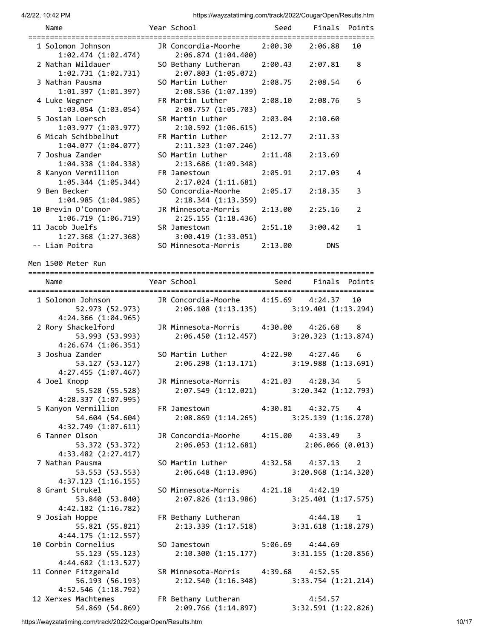| Name<br>===============================                      | Year School                                                                     | Seed    |                               | Finals Points |
|--------------------------------------------------------------|---------------------------------------------------------------------------------|---------|-------------------------------|---------------|
| 1 Solomon Johnson<br>1:02.474 (1:02.474)                     | JR Concordia-Moorhe<br>2:06.874 (1:04.400)                                      | 2:00.30 | 2:06.88                       | 10            |
| 2 Nathan Wildauer<br>1:02.731 (1:02.731)                     | SO Bethany Lutheran<br>2:07.803(1:05.072)                                       | 2:00.43 | 2:07.81                       | 8             |
| 3 Nathan Pausma<br>1:01.397 (1:01.397)                       | SO Martin Luther<br>2:08.536 (1:07.139)                                         | 2:08.75 | 2:08.54                       | 6             |
| 4 Luke Wegner<br>1:03.054 (1:03.054)                         | FR Martin Luther<br>2:08.757 (1:05.703)                                         | 2:08.10 | 2:08.76                       | 5             |
| 5 Josiah Loersch<br>1:03.977 (1:03.977)                      | SR Martin Luther<br>2:10.592(1:06.615)                                          | 2:03.04 | 2:10.60                       |               |
| 6 Micah Schibbelhut<br>1:04.077 (1:04.077)                   | FR Martin Luther<br>2:11.323(1:07.246)                                          | 2:12.77 | 2:11.33                       |               |
| 7 Joshua Zander<br>1:04.338(1:04.338)                        | SO Martin Luther<br>2:13.686 (1:09.348)                                         | 2:11.48 | 2:13.69                       |               |
| 8 Kanyon Vermillion<br>$1:05.344$ $(1:05.344)$               | FR Jamestown<br>2:17.024(1:11.681)                                              | 2:05.91 | 2:17.03                       | 4             |
| 9 Ben Becker<br>1:04.985(1:04.985)                           | SO Concordia-Moorhe<br>2:18.344(1:13.359)                                       | 2:05.17 | 2:18.35                       | 3             |
| 10 Brevin O'Connor<br>1:06.719 (1:06.719)                    | JR Minnesota-Morris<br>2:25.155(1:18.436)                                       | 2:13.00 | 2:25.16                       | 2             |
| 11 Jacob Juelfs<br>1:27.368(1:27.368)                        | SR Jamestown<br>3:00.419 (1:33.051)                                             | 2:51.10 | 3:00.42                       | 1             |
| -- Liam Poitra<br>Men 1500 Meter Run                         | SO Minnesota-Morris                                                             | 2:13.00 | <b>DNS</b>                    |               |
|                                                              |                                                                                 |         |                               |               |
| Name                                                         | Year School                                                                     | Seed    |                               | Finals Points |
| 1 Solomon Johnson<br>52.973 (52.973)<br>4:24.366 (1:04.965)  | JR Concordia-Moorhe 4:15.69<br>$2:06.108$ (1:13.135) 3:19.401 (1:13.294)        |         | 4:24.37                       | 10            |
| 2 Rory Shackelford<br>53.993 (53.993)                        | JR Minnesota-Morris 4:30.00<br>2:06.450 (1:12.457) 3:20.323 (1:13.874)          |         | 4:26.68                       | - 8           |
| 4:26.674(1:06.351)<br>3 Joshua Zander<br>53.127 (53.127)     | SO Martin Luther $4:22.90$ 4:27.46 6<br>2:06.298 (1:13.171) 3:19.988 (1:13.691) |         |                               |               |
| 4:27.455 (1:07.467)<br>4 Joel Knopp<br>55.528 (55.528)       | JR Minnesota-Morris<br>2:07.549 (1:12.021) 3:20.342 (1:12.793)                  | 4:21.03 | 4:28.34                       | 5             |
| 4:28.337 (1:07.995)<br>5 Kanyon Vermillion                   | FR Jamestown 4:30.81 4:32.75 4                                                  |         |                               |               |
| 54.604 (54.604)<br>4:32.749 (1:07.611)                       | 2:08.869 (1:14.265) 3:25.139 (1:16.270)                                         |         |                               |               |
| 6 Tanner Olson<br>53.372 (53.372)<br>4:33.482 (2:27.417)     | JR Concordia-Moorhe 4:15.00 4:33.49 3<br>2:06.053 (1:12.681)                    |         | 2:06.066(0.013)               |               |
| 7 Nathan Pausma<br>53.553 (53.553)                           | SO Martin Luther 4:32.58 4:37.13 2<br>2:06.648 (1:13.096) 3:20.968 (1:14.320)   |         |                               |               |
| 4:37.123(1:16.155)<br>8 Grant Strukel<br>53.840 (53.840)     | SO Minnesota-Morris 4:21.18 4:42.19<br>2:07.826 (1:13.986) 3:25.401 (1:17.575)  |         |                               |               |
| 4:42.182 (1:16.782)<br>9 Josiah Hoppe<br>55.821 (55.821)     | FR Bethany Lutheran<br>2:13.339 (1:17.518) 3:31.618 (1:18.279)                  |         | $4:44.18$ 1                   |               |
| 4:44.175(1:12.557)<br>10 Corbin Cornelius<br>55.123 (55.123) | SO Jamestown 5:06.69 4:44.69<br>2:10.300 (1:15.177) 3:31.155 (1:20.856)         |         |                               |               |
| 4:44.682 (1:13.527)<br>11 Conner Fitzgerald                  | SR Minnesota-Morris 4:39.68 4:52.55                                             |         |                               |               |
| 56.193 (56.193)<br>4:52.546 (1:18.792)                       | 2:12.540 (1:16.348) 3:33.754 (1:21.214)                                         |         |                               |               |
| 12 Xerxes Machtemes<br>54.869 (54.869)                       | FR Bethany Lutheran<br>2:09.766 (1:14.897)                                      |         | 4:54.57<br>3:32.591(1:22.826) |               |

https://wayzatatiming.com/track/2022/CougarOpen/Results.htm 10/17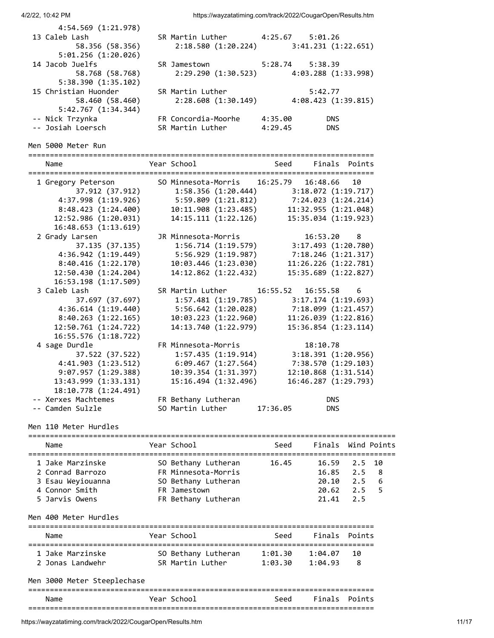4/2/22, 10:42 PM https://wayzatatiming.com/track/2022/CougarOpen/Results.htm 4:54.569 (1:21.978) 13 Caleb Lash SR Martin Luther 4:25.67 5:01.26 58.356 (58.356) 2:18.580 (1:20.224) 3:41.231 (1:22.651) 5:01.256 (1:20.026) 14 Jacob Juelfs SR Jamestown 5:28.74 5:38.39 58.768 (58.768) 2:29.290 (1:30.523) 4:03.288 (1:33.998) 5:38.390 (1:35.102) 15 Christian Huonder SR Martin Luther 5:42.77 58.460 (58.460) 2:28.608 (1:30.149) 4:08.423 (1:39.815) 5:42.767 (1:34.344) -- Nick Trzynka FR Concordia-Moorhe 4:35.00 DNS -- Josiah Loersch SR Martin Luther 4:29.45 DNS Men 5000 Meter Run ================================================================================ Name The Year School Contract Seed Finals Points ================================================================================ 1 Gregory Peterson SO Minnesota-Morris 16:25.79 16:48.66 10 37.912 (37.912) 1:58.356 (1:20.444) 3:18.072 (1:19.717) 4:37.998 (1:19.926) 5:59.809 (1:21.812) 7:24.023 (1:24.214) 8:48.423 (1:24.400) 10:11.908 (1:23.485) 11:32.955 (1:21.048) 12:52.986 (1:20.031) 14:15.111 (1:22.126) 15:35.034 (1:19.923) 16:48.653 (1:13.619) 2 Grady Larsen JR Minnesota-Morris 16:53.20 8 37.135 (37.135) 1:56.714 (1:19.579) 3:17.493 (1:20.780) 4:36.942 (1:19.449) 5:56.929 (1:19.987) 7:18.246 (1:21.317) 8:40.416 (1:22.170) 10:03.446 (1:23.030) 11:26.226 (1:22.781) 12:50.430 (1:24.204) 14:12.862 (1:22.432) 15:35.689 (1:22.827) 16:53.198 (1:17.509) 3 Caleb Lash SR Martin Luther 16:55.52 16:55.58 6 37.697 (37.697) 1:57.481 (1:19.785) 3:17.174 (1:19.693) 4:36.614 (1:19.440) 5:56.642 (1:20.028) 7:18.099 (1:21.457) 8:40.263 (1:22.165) 10:03.223 (1:22.960) 11:26.039 (1:22.816) 12:50.761 (1:24.722) 14:13.740 (1:22.979) 15:36.854 (1:23.114) 16:55.576 (1:18.722) 4 sage Durdle FR Minnesota-Morris 18:10.78 37.522 (37.522) 1:57.435 (1:19.914) 3:18.391 (1:20.956) 4:41.903 (1:23.512) 6:09.467 (1:27.564) 7:38.570 (1:29.103) 9:07.957 (1:29.388) 10:39.354 (1:31.397) 12:10.868 (1:31.514) 13:43.999 (1:33.131) 15:16.494 (1:32.496) 16:46.287 (1:29.793) 18:10.778 (1:24.491) -- Xerxes Machtemes FR Bethany Lutheran DNS -- Camden Sulzle SO Martin Luther 17:36.05 DNS

Men 110 Meter Hurdles

| Name                                                                                          | Year School                                                                                              | Seed  | Finals Wind Points                                     |                   |                 |
|-----------------------------------------------------------------------------------------------|----------------------------------------------------------------------------------------------------------|-------|--------------------------------------------------------|-------------------|-----------------|
| 1 Jake Marzinske<br>2 Conrad Barrozo<br>3 Esau Weyiouanna<br>4 Connor Smith<br>5 Jarvis Owens | SO Bethany Lutheran<br>FR Minnesota-Morris<br>SO Bethany Lutheran<br>FR Jamestown<br>FR Bethany Lutheran | 16.45 | 16.59 2.5 10<br>$16.85$ 2.5<br>20.10<br>20.62<br>21.41 | 2.5<br>2.5<br>2.5 | -8<br>-6<br>- 5 |
| Men 400 Meter Hurdles                                                                         |                                                                                                          |       |                                                        |                   |                 |
| Name                                                                                          | Year School                                                                                              | Seed  | Finals Points                                          |                   |                 |

| Name             | Year School         | Seed    | Finals Points |      |
|------------------|---------------------|---------|---------------|------|
| 1 Jake Marzinske | SO Bethany Lutheran | 1:01.30 | 1:04.07       | - 10 |
| 2 Jonas Landwehr | SR Martin Luther    | 1:03.30 | 1:04.93       | - 8  |

|  |  |  | Men 3000 Meter Steeplechase |  |
|--|--|--|-----------------------------|--|
|--|--|--|-----------------------------|--|

| Name | Year           | Seed | Finals | . Points |
|------|----------------|------|--------|----------|
| ---  | -------------- |      |        | ___      |

https://wayzatatiming.com/track/2022/CougarOpen/Results.htm 11/17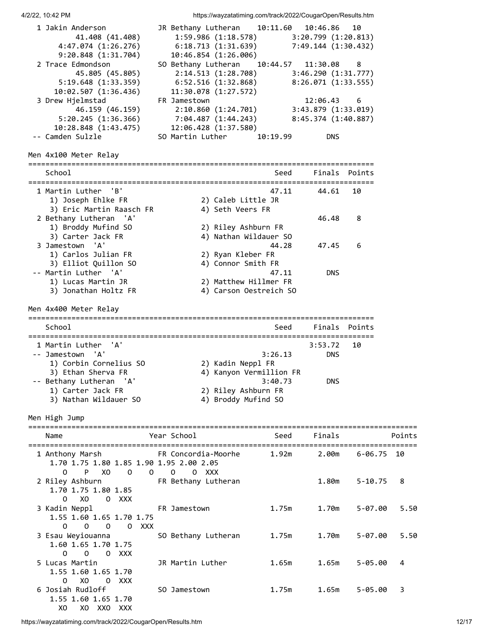4/2/22, 10:42 PM https://wayzatatiming.com/track/2022/CougarOpen/Results.htm 1 Jakin Anderson JR Bethany Lutheran 10:11.60 10:46.86 10 41.408 (41.408) 1:59.986 (1:18.578) 3:20.799 (1:20.813) 4:47.074 (1:26.276) 6:18.713 (1:31.639) 7:49.144 (1:30.432) 9:20.848 (1:31.704) 10:46.854 (1:26.006) 2 Trace Edmondson SO Bethany Lutheran 10:44.57 11:30.08 8 45.805 (45.805) 2:14.513 (1:28.708) 3:46.290 (1:31.777) 5:19.648 (1:33.359) 6:52.516 (1:32.868) 8:26.071 (1:33.555) 10:02.507 (1:36.436) 11:30.078 (1:27.572) 3 Drew Hjelmstad FR Jamestown 12:06.43 6 46.159 (46.159) 2:10.860 (1:24.701) 3:43.879 (1:33.019) 5:20.245 (1:36.366) 7:04.487 (1:44.243) 8:45.374 (1:40.887) 10:28.848 (1:43.475) 12:06.428 (1:37.580) -- Camden Sulzle SO Martin Luther 10:19.99 DNS Men 4x100 Meter Relay ================================================================================ School School School Seed Finals Points ================================================================================ 1 Martin Luther 'B' 47.11 44.61 10 1) Joseph Ehlke FR 2) Caleb Little JR 3) Eric Martin Raasch FR 4) Seth Veers FR 2 Bethany Lutheran 'A' 46.48 8 1) Broddy Mufind SO 2) Riley Ashburn FR<br>3) Carter Jack FR 4) Nathan Wildauer SO 3) Carter Jack FR<br>3 Jamestown 'A' amestown 'A' 128 47.45 6<br>
1) Carlos Julian FR 2) Ryan Kleber FR<br>
3) Flliot Ouillon SO 4) Connor Smith FR 1) Carlos Julian FR 2) Ryan Kleber FR 3) Elliot Quillon SO 4) Connor Smith FR -- Martin Luther 'A' 47.11 DNS 1) Lucas Martin JR 2) Matthew Hillmer FR 3) Jonathan Holtz FR 4) Carson Oestreich SO Men 4x400 Meter Relay ================================================================================ School School School Seed Finals Points ================================================================================ 1 Martin Luther 'A' 3:53.72 10<br>19 - Jamestown 'A' 3:26.13 DNS -- Jamestown 'A' 3:26.13 DNS 1) Corbin Cornelius SO 2) Kadin Neppl FR 3) Ethan Sherva FR 4) Kanyon Vermillion FR -- Bethany Lutheran 'A' 3:40.73 DNS 1) Carter Jack FR 2) Riley Ashburn FR 3) Nathan Wildauer SO 4) Broddy Mufind SO Men High Jump ========================================================================================== Name The Year School Seed Finals Points ========================================================================================== 1 Anthony Marsh FR Concordia-Moorhe 1.92m 2.00m 6-06.75 10 1.70 1.75 1.80 1.85 1.90 1.95 2.00 2.05 O P XO O O O O XXX 2 Riley Ashburn FR Bethany Lutheran 1.80m 5-10.75 8 1.70 1.75 1.80 1.85 O XO O XXX 3 Kadin Neppl FR Jamestown 1.75m 1.70m 5-07.00 5.50 1.55 1.60 1.65 1.70 1.75 O O O O XXX 3 Esau Weyiouanna SO Bethany Lutheran 1.75m 1.70m 5-07.00 5.50 1.60 1.65 1.70 1.75 O O O XXX 5 Lucas Martin JR Martin Luther 1.65m 1.65m 5-05.00 4 1.55 1.60 1.65 1.70 O XO O XXX 6 Josiah Rudloff SO Jamestown 1.75m 1.65m 5-05.00 3 1.55 1.60 1.65 1.70 XO XO XXO XXX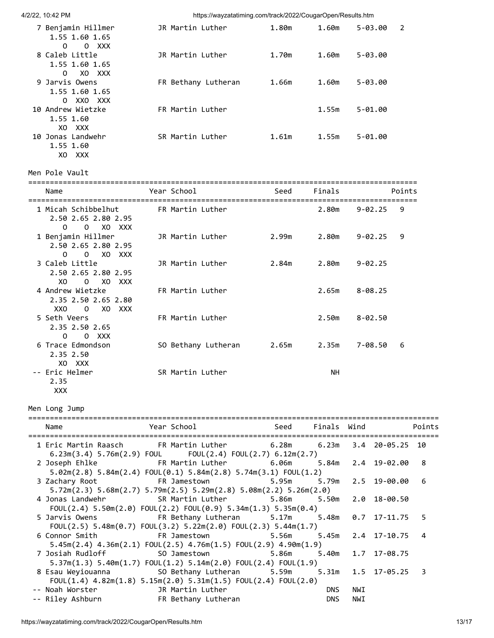4/2/22, 10:42 PM https://wayzatatiming.com/track/2022/CougarOpen/Results.htm 7 Benjamin Hillmer JR Martin Luther 1.80m 1.60m 5-03.00 2 1.55 1.60 1.65 O O XXX 8 Caleb Little JR Martin Luther 1.70m 1.60m 5-03.00 1.55 1.60 1.65 O XO XXX 9 Jarvis Owens FR Bethany Lutheran 1.66m 1.60m 5-03.00 1.55 1.60 1.65 O XXO XXX 10 Andrew Wietzke FR Martin Luther 1.55m 5-01.00 1.55 1.60 XO XXX 10 Jonas Landwehr SR Martin Luther 1.61m 1.55m 5-01.00 1.55 1.60 XO XXX Men Pole Vault ========================================================================================== Name The Year School Contract Seed Finals Points ========================================================================================== 1 Micah Schibbelhut FR Martin Luther 2.80m 9-02.25 9 2.50 2.65 2.80 2.95 O O XO XXX 1 Benjamin Hillmer JR Martin Luther 2.99m 2.80m 9-02.25 9 2.50 2.65 2.80 2.95 O O XO XXX 3 Caleb Little JR Martin Luther 2.84m 2.80m 9-02.25 2.50 2.65 2.80 2.95 XO O XO XXX 4 Andrew Wietzke FR Martin Luther 2.65m 8-08.25 2.35 2.50 2.65 2.80 XXO O XO XXX 5 Seth Veers FR Martin Luther 2.50m 8-02.50 2.35 2.50 2.65 O O XXX 6 Trace Edmondson SO Bethany Lutheran 2.65m 2.35m 7-08.50 6 2.35 2.50 XO XXX -- Eric Helmer SR Martin Luther NH 2.35 XXX Men Long Jump =============================================================================================== Name The Year School Contract Seed Finals Wind Points =============================================================================================== 1 Eric Martin Raasch FR Martin Luther 6.28m 6.23m 3.4 20-05.25 10 6.23m(3.4) 5.76m(2.9) FOUL FOUL(2.4) FOUL(2.7) 6.12m(2.7) 2 Joseph Ehlke FR Martin Luther 6.06m 5.84m 2.4 19-02.00 8 5.02m(2.8) 5.84m(2.4) FOUL(0.1) 5.84m(2.8) 5.74m(3.1) FOUL(1.2) 3 Zachary Root FR Jamestown 5.95m 5.79m 2.5 19-00.00 6 5.72m(2.3) 5.68m(2.7) 5.79m(2.5) 5.29m(2.8) 5.08m(2.2) 5.26m(2.0) 4 Jonas Landwehr SR Martin Luther 5.86m 5.50m 2.0 18-00.50 FOUL(2.4) 5.50m(2.0) FOUL(2.2) FOUL(0.9) 5.34m(1.3) 5.35m(0.4) 5 Jarvis Owens FR Bethany Lutheran 5.17m 5.48m 0.7 17-11.75 5 FOUL(2.5) 5.48m(0.7) FOUL(3.2) 5.22m(2.0) FOUL(2.3) 5.44m(1.7) 6 Connor Smith FR Jamestown 5.56m 5.45m 2.4 17-10.75 4 5.45m(2.4) 4.36m(2.1) FOUL(2.5) 4.76m(1.5) FOUL(2.9) 4.90m(1.9) 7 Josiah Rudloff SO Jamestown 5.86m 5.40m 1.7 17-08.75 5.37m(1.3) 5.40m(1.7) FOUL(1.2) 5.14m(2.0) FOUL(2.4) FOUL(1.9) 8 Esau Weyiouanna SO Bethany Lutheran 5.59m 5.31m 1.5 17-05.25 3 FOUL(1.4) 4.82m(1.8) 5.15m(2.0) 5.31m(1.5) FOUL(2.4) FOUL(2.0) -- Noah Worster JR Martin Luther DNS NWI

-- Riley Ashburn FR Bethany Lutheran DNS NWI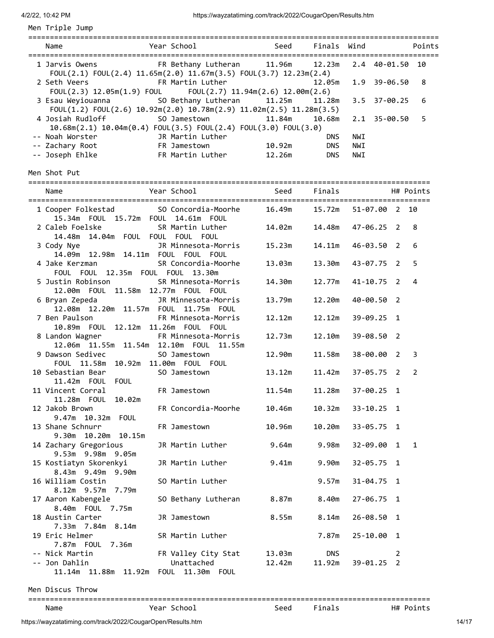Men Triple Jump

| Name                                                                                                                                                      | Year School                       |                  | Seed Finals Wind     |     |                     | Points         |
|-----------------------------------------------------------------------------------------------------------------------------------------------------------|-----------------------------------|------------------|----------------------|-----|---------------------|----------------|
| 1 Jarvis Owens 6 12.23m                                                                                                                                   |                                   |                  |                      |     | 2.4 40-01.50 10     |                |
| FOUL(2.1) FOUL(2.4) $11.65m(2.0)$ $11.67m(3.5)$ FOUL(3.7) $12.23m(2.4)$<br>2 Seth Veers<br>FOUL(2.3) 12.05m(1.9) FOUL FOUL(2.7) 11.94m(2.6) 12.00m(2.6)   | FR Martin Luther                  |                  | 12.05m               |     | 1.9 39-06.50        | 8              |
| 3 Esau Weyiouanna               SO Bethany Lutheran<br>FOUL $(1.2)$ FOUL $(2.6)$ 10.92m $(2.0)$ 10.78m $(2.9)$ 11.02m $(2.5)$ 11.28m $(3.5)$              |                                   | 11.25m           | 11.28m               |     | 3.5 37-00.25        | 6              |
| 4 Josiah Rudloff<br>10.68m(2.1) 10.04m(0.4) FOUL(3.5) FOUL(2.4) FOUL(3.0) FOUL(3.0)                                                                       | SO Jamestown                      | 11.84m           | 10.68m               |     | 2.1 35-00.50        | 5              |
|                                                                                                                                                           |                                   |                  | <b>DNS</b>           | NWI |                     |                |
|                                                                                                                                                           |                                   | 10.92m           | <b>DNS</b>           | NWI |                     |                |
|                                                                                                                                                           |                                   |                  | <b>DNS</b>           | NWI |                     |                |
| Men Shot Put                                                                                                                                              |                                   |                  |                      |     |                     |                |
| Name                                                                                                                                                      | Year School                       | Seed Finals      |                      |     |                     | H# Points      |
| 1 Cooper Folkestad 50 Concordia-Moorhe 16.49m 15.72m 51-07.00 2 10<br>15.34m  FOUL  15.72m  FOUL  14.61m  FOUL                                            |                                   |                  |                      |     |                     |                |
| 2 Caleb Foelske<br>14.48m 14.04m FOUL FOUL FOUL FOUL                                                                                                      | SR Martin Luther                  | 14.02m           | 14.48m               |     | 47-06.25 2          | 8              |
| 3 Cody Nye and the state of the state of the state of the state of the state of the state of the state of the<br>14.09m  12.98m  14.11m  FOUL  FOUL  FOUL | JR Minnesota-Morris               | 15.23m           | 14.11m               |     | 46-03.50 2          | 6              |
| 4 Jake Kerzman<br>FOUL FOUL 12.35m FOUL FOUL 13.30m                                                                                                       | SR Concordia-Moorhe               | 13.03m           | 13.30m               |     | 43-07.75 2          | 5              |
| 5 Justin Robinson<br>12.00m  FOUL  11.58m  12.77m  FOUL  FOUL                                                                                             | SR Minnesota-Morris               | 14.30m           | 12.77m               |     | $41 - 10.75$ 2      | $\overline{4}$ |
| 6 Bryan Zepeda<br>12.08m  12.20m  11.57m  FOUL  11.75m  FOUL                                                                                              | JR Minnesota-Morris               | 13.79m           | 12.20m               |     | 40-00.50 2          |                |
| 7 Ben Paulson<br>10.89m  FOUL  12.12m  11.26m  FOUL  FOUL                                                                                                 | FR Minnesota-Morris               | 12.12m           | 12.12m               |     | 39-09.25 1          |                |
| 8 Landon Wagner<br>12.06m  11.55m  11.54m  12.10m  FOUL  11.55m                                                                                           | FR Minnesota-Morris               | 12.73m           | 12.10m               |     | 39-08.50 2          |                |
| 9 Dawson Sedivec<br>FOUL 11.58m 10.92m 11.00m FOUL FOUL                                                                                                   | SO Jamestown                      | 12.90m           | 11.58m               |     | $38 - 00.00 2$      | 3              |
| 10 Sebastian Bear<br><b>FOUL</b>                                                                                                                          | SO Jamestown                      | 13.12m           | 11.42m               |     | $37 - 05.75$ 2      | $\overline{2}$ |
| 11 Vincent Corral<br>11.28m    FOUL<br>10.02m                                                                                                             | FR Jamestown                      | 11.54m           | 11.28m               |     | $37 - 00.25$ 1      |                |
| 12 Jakob Brown<br>9.47m 10.32m FOUL                                                                                                                       | FR Concordia-Moorhe               | 10.46m           | 10.32m               |     | $33 - 10.25$ 1      |                |
| 13 Shane Schnurr<br>9.30m 10.20m 10.15m                                                                                                                   | FR Jamestown                      | 10.96m           | 10.20m               |     | $33 - 05.75$ 1      |                |
| 14 Zachary Gregorious<br>9.53m 9.98m 9.05m                                                                                                                | JR Martin Luther                  | 9.64m            | 9.98m                |     | 32-09.00 1          | $\mathbf{1}$   |
| 15 Kostiatyn Skorenkyi<br>8.43m 9.49m 9.90m                                                                                                               | JR Martin Luther                  | 9.41m            | 9.90m                |     | $32 - 05.75$ 1      |                |
| 16 William Costin<br>8.12m 9.57m 7.79m                                                                                                                    | SO Martin Luther                  |                  | 9.57m                |     | $31 - 04.75$ 1      |                |
| 17 Aaron Kabengele<br>8.40m FOUL 7.75m                                                                                                                    | SO Bethany Lutheran               | 8.87m            | 8.40m                |     | $27 - 06.75$ 1      |                |
| 18 Austin Carter<br>7.33m 7.84m 8.14m                                                                                                                     | JR Jamestown                      | 8.55m            | 8.14m                |     | 26-08.50 1          |                |
| 19 Eric Helmer<br>7.87m  FOUL  7.36m                                                                                                                      | SR Martin Luther                  |                  | 7.87m                |     | 25-10.00 1          |                |
| -- Nick Martin<br>-- Jon Dahlin<br>11.14m  11.88m  11.92m  FOUL  11.30m  FOUL                                                                             | FR Valley City Stat<br>Unattached | 13.03m<br>12.42m | <b>DNS</b><br>11.92m |     | 2<br>$39 - 01.25$ 2 |                |

Men Discus Throw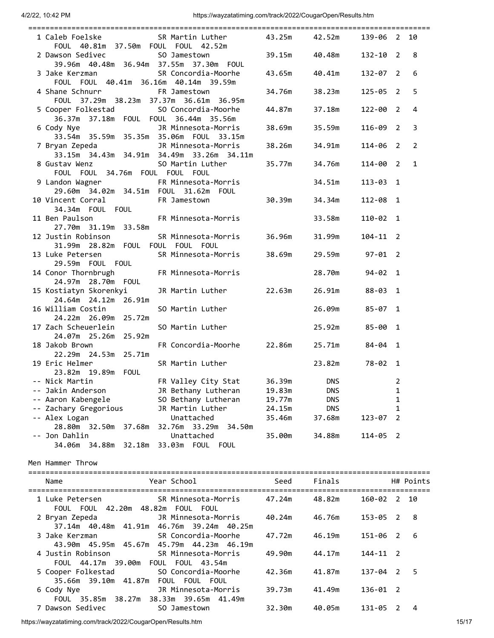| 1 Caleb Foelske               SR Martin Luther           43.25m       42.52m<br>FOUL 40.81m 37.50m FOUL FOUL 42.52m    |        |                 | 139-06 2 10        |                |              |
|------------------------------------------------------------------------------------------------------------------------|--------|-----------------|--------------------|----------------|--------------|
| 2 Dawson Sedivec 50 Jamestown<br>39.96m  40.48m  36.94m  37.55m  37.30m  FOUL                                          |        | 39.15m   40.48m | $132 - 10$ 2       |                | 8            |
| 3 Jake Kerzman Managa SR Concordia-Moorhe<br>FOUL FOUL 40.41m 36.16m 40.14m 39.59m                                     |        |                 | 132-07 2           |                | 6            |
| 4 Shane Schnurr FR Jamestown<br>FOUL 37.29m 38.23m 37.37m 36.61m 36.95m                                                |        | 34.76m 38.23m   | $125 - 05$ 2       |                | 5            |
| 5 Cooper Folkestad SO Concordia-Moorhe                                                                                 |        | 44.87m 37.18m   | 122-00 2           |                | 4            |
| JR Minnesota-Morris 38.69m 35.59m<br>6 Cody Nye<br>33.54m 35.59m 35.35m 35.06m FOUL 33.15m                             |        |                 | $116 - 09$ 2       |                | 3            |
| JR Minnesota-Morris 38.26m 34.91m<br>7 Bryan Zepeda<br>33.15m  34.43m  34.91m  34.49m  33.26m  34.11m                  |        |                 | 114-06 2           |                | 2            |
| SO Martin Luther 35.77m 34.76m<br>8 Gustav Wenz<br>FOUL FOUL 34.76m FOUL FOUL FOUL                                     |        |                 | 114-00 2           |                | $\mathbf{1}$ |
| 9 Landon Wagner FR Minnesota-Morris<br>29.60m  34.02m  34.51m  FOUL  31.62m  FOUL                                      |        | 34.51m          | $113 - 03$ 1       |                |              |
| 10 Vincent Corral FR Jamestown 30.39m 34.34m<br>34.34m FOUL FOUL                                                       |        |                 | 112-08 1           |                |              |
| 11 Ben Paulson FR Minnesota-Morris<br>27.70m 31.19m 33.58m                                                             |        | 33.58m          | $110 - 02$ 1       |                |              |
| 12 Justin Robinson<br>SR Minnesota-Morris 36.96m 31.99m<br>31.99m 28.82m FOUL FOUL FOUL FOUL                           |        |                 | $104 - 11$ 2       |                |              |
| 13 Luke Petersen SR Minnesota-Morris 38.69m 29.59m 97-01 2<br>29.59m FOUL FOUL                                         |        |                 |                    |                |              |
| 14 Conor Thornbrugh FR Minnesota-Morris<br>24.97m  28.70m  FOUL                                                        |        | 28.70m 94-02 1  |                    |                |              |
| 15 Kostiatyn Skorenkyi<br>JR Martin Luther 22.63m<br>24.64m 24.12m 26.91m                                              |        | 26.91m 88-03 1  |                    |                |              |
| 16 William Costin<br>SO Martin Luther<br>24.22m 26.09m 25.72m                                                          |        | 26.09m          | $85 - 07$ 1        |                |              |
| 17 Zach Scheuerlein<br>SO Martin Luther<br>24.07m 25.26m 25.92m<br>FR Concordia-Moorhe 22.86m 25.71m<br>18 Jakob Brown |        | 25.92m          | 85-00 1<br>84-04 1 |                |              |
| 22.29m 24.53m 25.71m<br>19 Eric Helmer<br>SR Martin Luther                                                             |        | 23.82m          | 78-02 1            |                |              |
| 23.82m 19.89m FOUL<br>FR Valley City Stat 36.39m DNS<br>-- Nick Martin                                                 |        |                 |                    | $\overline{2}$ |              |
|                                                                                                                        |        |                 |                    |                |              |
| -- Jakin Anderson<br>JR Bethany Lutheran                                                                               | 19.83m | <b>DNS</b>      |                    | 1              |              |
| -- Aaron Kabengele<br>SO Bethany Lutheran                                                                              | 19.77m | <b>DNS</b>      |                    | 1              |              |
| -- Zachary Gregorious<br>JR Martin Luther                                                                              | 24.15m | <b>DNS</b>      |                    | 1              |              |
| -- Alex Logan<br>Unattached                                                                                            | 35.46m | 37.68m          | 123-07             | 2              |              |
| 28.80m 32.50m 37.68m<br>32.76m 33.29m 34.50m                                                                           |        |                 |                    |                |              |
| -- Jon Dahlin<br>Unattached<br>33.03m FOUL FOUL<br>34.06m 34.88m 32.18m                                                | 35.00m | 34.88m          | $114 - 05$ 2       |                |              |
| Men Hammer Throw                                                                                                       |        |                 |                    |                |              |
| Year School<br>Name                                                                                                    | Seed   | Finals          |                    |                | H# Points    |
| SR Minnesota-Morris<br>1 Luke Petersen<br>FOUL FOUL 42.20m 48.82m FOUL FOUL                                            | 47.24m | 48.82m          | 160-02 2           |                | 10           |
| 2 Bryan Zepeda<br>JR Minnesota-Morris<br>37.14m 40.48m 41.91m 46.76m 39.24m 40.25m                                     | 40.24m | 46.76m          | 153-05             | - 2            | 8            |
| 3 Jake Kerzman<br>SR Concordia-Moorhe<br>43.90m 45.95m 45.67m 45.79m 44.23m 46.19m                                     | 47.72m | 46.19m          | 151-06             | $\overline{2}$ | 6            |
| 4 Justin Robinson<br>SR Minnesota-Morris<br>FOUL 44.17m 39.00m<br>FOUL FOUL 43.54m                                     | 49.90m | 44.17m          | $144 - 11$ 2       |                |              |
| 5 Cooper Folkestad<br>SO Concordia-Moorhe<br>35.66m    39.10m    41.87m    FOUL    FOUL    FOUL                        | 42.36m | 41.87m          | 137-04 2           |                | 5            |
| 6 Cody Nye<br>JR Minnesota-Morris<br>FOUL 35.85m 38.27m<br>38.33m 39.65m 41.49m                                        | 39.73m | 41.49m          | $136 - 01$ 2       |                |              |
| 7 Dawson Sedivec<br>SO Jamestown                                                                                       | 32.30m | 40.05m          | 131-05 2           |                | 4            |

https://wayzatatiming.com/track/2022/CougarOpen/Results.htm 15/17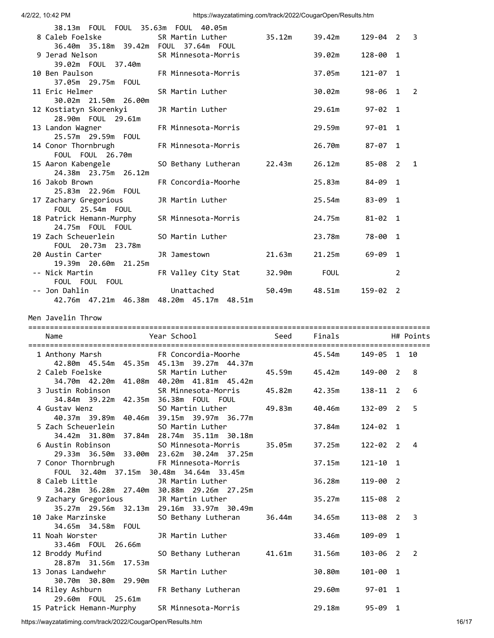| 38.13m  FOUL  FOUL  35.63m  FOUL  40.05m                 |                                 |        |                   |             |   |                |
|----------------------------------------------------------|---------------------------------|--------|-------------------|-------------|---|----------------|
| 8 Caleb Foelske in the Sanda S                           | SR Martin Luther 35.12m         |        | 39.42m 129-04 2 3 |             |   |                |
|                                                          |                                 |        |                   |             |   |                |
| 9 Jerad Nelson SR Minnesota-Morris                       |                                 |        | 39.02m            | 128-00 1    |   |                |
| 39.02m  FOUL  37.40m                                     |                                 |        |                   |             |   |                |
| 10 Ben Paulson                                           | FR Minnesota-Morris             |        | 37.05m            | 121-07 1    |   |                |
| 37.05m  29.75m  FOUL                                     |                                 |        |                   |             |   |                |
| 11 Eric Helmer                                           | SR Martin Luther                |        | 30.02m            | 98-06 1     |   | $\overline{2}$ |
| 30.02m 21.50m 26.00m                                     |                                 |        |                   |             |   |                |
| 12 Kostiatyn Skorenkyi JR Martin Luther                  |                                 |        | 29.61m            | $97 - 02$ 1 |   |                |
| 28.90m  FOUL  29.61m                                     |                                 |        |                   |             |   |                |
| 13 Landon Wagner FR Minnesota-Morris                     |                                 |        | 29.59m            | $97 - 01$ 1 |   |                |
| 25.57m 29.59m FOUL                                       |                                 |        |                   |             |   |                |
| 14 Conor Thornbrugh FR Minnesota-Morris                  |                                 |        | 26.70m            | 87-07 1     |   |                |
| FOUL FOUL 26.70m                                         |                                 |        |                   |             |   |                |
| 15 Aaron Kabengele                                       | SO Bethany Lutheran 22.43m      |        | 26.12m            | 85-08 2 1   |   |                |
| 24.38m 23.75m 26.12m                                     |                                 |        |                   |             |   |                |
| 16 Jakob Brown 2008 16 Jakob                             | FR Concordia-Moorhe             |        | 25.83m            | 84-09 1     |   |                |
| 25.83m 22.96m FOUL                                       |                                 |        |                   |             |   |                |
| 17 Zachary Gregorious                                    | JR Martin Luther                |        | 25.54m            | 83-09 1     |   |                |
| FOUL 25.54m FOUL                                         |                                 |        |                   |             |   |                |
| 18 Patrick Hemann-Murphy SR Minnesota-Morris             |                                 |        | 24.75m            | $81 - 02$ 1 |   |                |
| 24.75m FOUL FOUL<br>19 Zach Scheuerlein 50 Martin Luther |                                 |        | 23.78m            | 78-00 1     |   |                |
| FOUL 20.73m 23.78m                                       |                                 |        |                   |             |   |                |
| 20 Austin Carter                                         | JR Jamestown 21.63m             |        | 21.25m            | $69 - 09$ 1 |   |                |
| 19.39m 20.60m 21.25m                                     |                                 |        |                   |             |   |                |
| -- Nick Martin                                           | FR Valley City Stat 32.90m FOUL |        |                   |             | 2 |                |
| FOUL FOUL FOUL                                           |                                 |        |                   |             |   |                |
| -- Jon Dahlin                                            | Unattached by the Unattached    | 50.49m | 48.51m            | 159-02 2    |   |                |
| 42.76m 47.21m 46.38m 48.20m 45.17m 48.51m                |                                 |        |                   |             |   |                |
|                                                          |                                 |        |                   |             |   |                |

Men Javelin Throw

| Name                                                                                                                                     |                                                                                |                |              | H# Points      |
|------------------------------------------------------------------------------------------------------------------------------------------|--------------------------------------------------------------------------------|----------------|--------------|----------------|
|                                                                                                                                          |                                                                                |                | 149-05 1 10  |                |
| 2 Caleb Foelske                       SR Martin Luther             45.59m       45.42m<br>34.70m  42.20m  41.08m  40.20m  41.81m  45.42m |                                                                                |                | 149-00 2     | 8              |
| 3 Justin Robinson<br>34.84m    39.22m    42.35m    36.38m    FOUL    FOUL                                                                | SR Minnesota-Morris 45.82m 42.35m                                              |                | $138 - 11$ 2 | 6              |
| 4 Gustav Wenz<br>40.37m 39.89m 40.46m 39.15m 39.97m 36.77m                                                                               | SO Martin Luther 49.83m 40.46m                                                 |                | 132-09 2     | 5              |
| 5 Zach Scheuerlein<br>34.42m 31.80m 37.84m 28.74m 35.11m 30.18m                                                                          | SO Martin Luther                                                               | 37.84m         | $124 - 02$ 1 |                |
| 6 Austin Robinson                                                                                                                        | SO Minnesota-Morris 35.05m 37.25m<br>29.33m 36.50m 33.00m 23.62m 30.24m 37.25m |                | 122-02 2     | $\overline{4}$ |
| 7 Conor Thornbrugh FR Minnesota-Morris<br>FOUL 32.40m 37.15m 30.48m 34.64m 33.45m                                                        |                                                                                | 37.15m         | $121 - 10$ 1 |                |
| 8 Caleb Little 5 7R Martin Luther                                                                                                        |                                                                                | 36.28m         | 119-00 2     |                |
| 34.28m  36.28m  27.40m  30.88m  29.26m  27.25m<br>9 Zachary Gregorious                                                                   | JR Martin Luther                                                               | 35.27m         | 115-08 2     |                |
| 10 Jake Marzinske                                                                                                                        | 35.27m 29.56m 32.13m 29.16m 33.97m 30.49m<br>SO Bethany Lutheran               | 36.44m 34.65m  | 113-08 2 3   |                |
| 34.65m 34.58m FOUL<br>11 Noah Worster <b>11 JR Martin Luther</b><br>33.46m  FOUL  26.66m                                                 |                                                                                | 33.46m         | 109-09 1     |                |
| 12 Broddy Mufind<br>28.87m 31.56m 17.53m                                                                                                 | SO Bethany Lutheran 41.61m 31.56m                                              |                | 103-06 2 2   |                |
| 13 Jonas Landwehr<br>30.70m 30.80m 29.90m                                                                                                | SR Martin Luther                                                               | 30.80m         | 101-00 1     |                |
| 14 Riley Ashburn                                                                                                                         | FR Bethany Lutheran                                                            | 29.60m         | 97-01 1      |                |
| 29.60m  FOUL  25.61m<br>15 Patrick Hemann-Murphy SR Minnesota-Morris                                                                     |                                                                                | 29.18m 95-09 1 |              |                |

https://wayzatatiming.com/track/2022/CougarOpen/Results.htm 16/17